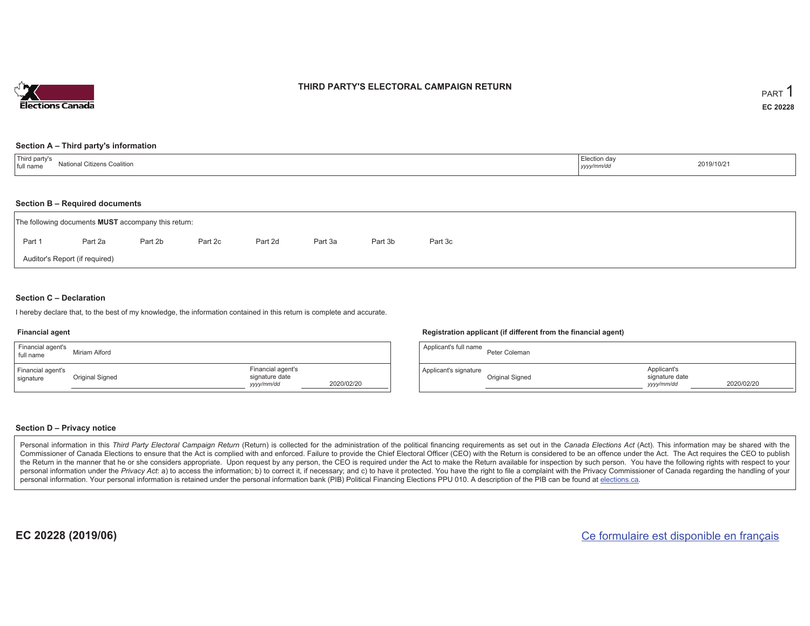

## **THIRD PARTY'S ELECTORAL CAMPAIGN RETURN**

#### **Section A – Third party's information**

| $\overline{\phantom{a}}$<br>d party's<br>$N = 41 - 12$<br>al Citizens Coalition<br>Natio<br>full name | ≟lection da∗<br>yyyy/mm/dr | 2019/10/21 |
|-------------------------------------------------------------------------------------------------------|----------------------------|------------|
|-------------------------------------------------------------------------------------------------------|----------------------------|------------|

#### **Section B – Required documents**

| The following documents <b>MUST</b> accompany this return: |                                |         |         |         |         |         |         |  |  |  |  |  |
|------------------------------------------------------------|--------------------------------|---------|---------|---------|---------|---------|---------|--|--|--|--|--|
| Part 1                                                     | Part 2a                        | Part 2b | Part 2c | Part 2d | Part 3a | Part 3b | Part 3c |  |  |  |  |  |
|                                                            | Auditor's Report (if required) |         |         |         |         |         |         |  |  |  |  |  |

#### **Section C – Declaration**

I hereby declare that, to the best of my knowledge, the information contained in this return is complete and accurate.

#### **Financial agent**

| Financial agent's<br>full name | Miriam Alford   |                                                   |            |
|--------------------------------|-----------------|---------------------------------------------------|------------|
| Financial agent's<br>signature | Original Signed | Financial agent's<br>signature date<br>yyyy/mm/dd | 2020/02/20 |

#### **Registration applicant (if different from the financial agent)**

| Applicant's full name | Peter Coleman   |                                             |            |
|-----------------------|-----------------|---------------------------------------------|------------|
| Applicant's signature | Original Signed | Applicant's<br>signature date<br>yyyy/mm/dd | 2020/02/20 |

#### **Section D – Privacy notice**

Personal information in this Third Party Electoral Campaign Return (Return) is collected for the administration of the political financing requirements as set out in the Canada Elections Act (Act). This information may be Commissioner of Canada Elections to ensure that the Act is complied with and enforced. Failure to provide the Chief Electoral Officer (CEO) with the Return is considered to be an offence under the Act. The Act requires the the Return in the manner that he or she considers appropriate. Upon request by any person, the CEO is required under the Act to make the Return available for inspection by such person. You have the following rights with re personal information under the Privacy Act: a) to access the information; b) to correct it, if necessary; and c) to have it protected. You have the right to file a complaint with the Privacy Commissioner of Canada regardin personal information. Your personal information is retained under the personal information bank (PIB) Political Financing Elections PPU 010. A description of the PIB can be found at elections.ca.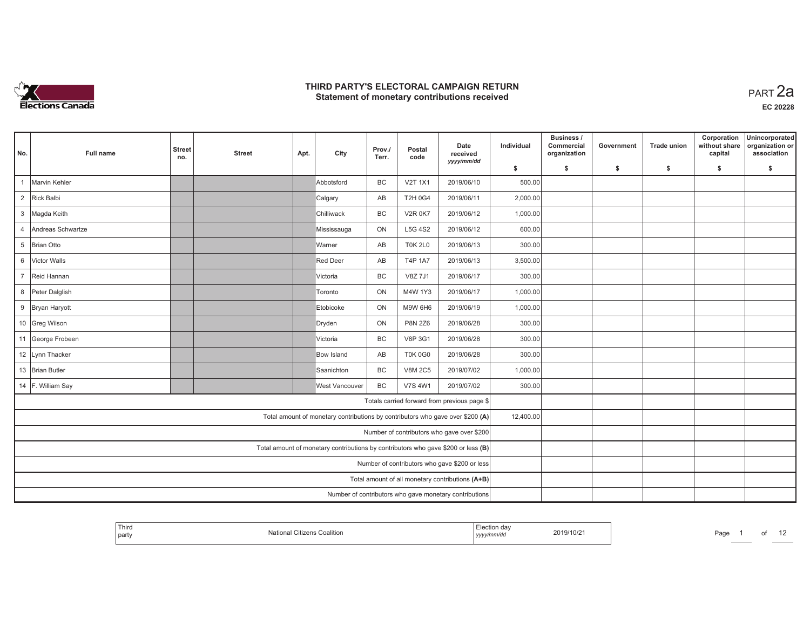

| No.            | Full name         | <b>Street</b><br>no.                                                           | <b>Street</b> | Apt. | City                  | Prov./<br>Terr. | Postal<br>code | Date<br>received<br>yyyy/mm/dd                                                    | Individual | <b>Business /</b><br>Commercial<br>organization | Government | Trade union | Corporation<br>without share<br>capital | Unincorporated<br>organization or<br>association |
|----------------|-------------------|--------------------------------------------------------------------------------|---------------|------|-----------------------|-----------------|----------------|-----------------------------------------------------------------------------------|------------|-------------------------------------------------|------------|-------------|-----------------------------------------|--------------------------------------------------|
|                |                   |                                                                                |               |      |                       |                 |                |                                                                                   | \$         | s.                                              | -\$        | -\$         | \$                                      | \$                                               |
|                | Marvin Kehler     |                                                                                |               |      | Abbotsford            | BC              | <b>V2T 1X1</b> | 2019/06/10                                                                        | 500.00     |                                                 |            |             |                                         |                                                  |
| $\overline{2}$ | Rick Balbi        |                                                                                |               |      | Calgary               | AB              | <b>T2H 0G4</b> | 2019/06/11                                                                        | 2,000.00   |                                                 |            |             |                                         |                                                  |
| $\mathbf{3}$   | Magda Keith       |                                                                                |               |      | Chilliwack            | BC              | <b>V2R 0K7</b> | 2019/06/12                                                                        | 1,000.00   |                                                 |            |             |                                         |                                                  |
| $\overline{4}$ | Andreas Schwartze |                                                                                |               |      | Mississauga           | ON              | <b>L5G 4S2</b> | 2019/06/12                                                                        | 600.00     |                                                 |            |             |                                         |                                                  |
| 5              | Brian Otto        |                                                                                |               |      | Warner                | AB              | <b>T0K 2L0</b> | 2019/06/13                                                                        | 300.00     |                                                 |            |             |                                         |                                                  |
| 6              | Victor Walls      |                                                                                |               |      | Red Deer              | AB              | T4P 1A7        | 2019/06/13                                                                        | 3,500.00   |                                                 |            |             |                                         |                                                  |
| $\overline{7}$ | Reid Hannan       |                                                                                |               |      | Victoria              | BC              | V8Z 7J1        | 2019/06/17                                                                        | 300.00     |                                                 |            |             |                                         |                                                  |
|                | 8 Peter Dalglish  |                                                                                |               |      | Toronto               | ON              | M4W 1Y3        | 2019/06/17                                                                        | 1,000.00   |                                                 |            |             |                                         |                                                  |
|                | 9 Bryan Haryott   |                                                                                |               |      | Etobicoke             | ON              | <b>M9W 6H6</b> | 2019/06/19                                                                        | 1,000.00   |                                                 |            |             |                                         |                                                  |
|                | 10 Greg Wilson    |                                                                                |               |      | Dryden                | ON              | <b>P8N 2Z6</b> | 2019/06/28                                                                        | 300.00     |                                                 |            |             |                                         |                                                  |
|                | 11 George Frobeen |                                                                                |               |      | Victoria              | BC              | V8P 3G1        | 2019/06/28                                                                        | 300.00     |                                                 |            |             |                                         |                                                  |
|                | 12 Lynn Thacker   |                                                                                |               |      | Bow Island            | AB              | <b>T0K 0G0</b> | 2019/06/28                                                                        | 300.00     |                                                 |            |             |                                         |                                                  |
|                | 13 Brian Butler   |                                                                                |               |      | Saanichton            | BC              | <b>V8M 2C5</b> | 2019/07/02                                                                        | 1,000.00   |                                                 |            |             |                                         |                                                  |
|                | 14 F. William Say |                                                                                |               |      | <b>West Vancouver</b> | <b>BC</b>       | <b>V7S 4W1</b> | 2019/07/02                                                                        | 300.00     |                                                 |            |             |                                         |                                                  |
|                |                   |                                                                                |               |      |                       |                 |                | Totals carried forward from previous page \$                                      |            |                                                 |            |             |                                         |                                                  |
|                |                   | Total amount of monetary contributions by contributors who gave over \$200 (A) | 12,400.00     |      |                       |                 |                |                                                                                   |            |                                                 |            |             |                                         |                                                  |
|                |                   | Number of contributors who gave over \$200                                     |               |      |                       |                 |                |                                                                                   |            |                                                 |            |             |                                         |                                                  |
|                |                   |                                                                                |               |      |                       |                 |                | Total amount of monetary contributions by contributors who gave \$200 or less (B) |            |                                                 |            |             |                                         |                                                  |
|                |                   | Number of contributors who gave \$200 or less                                  |               |      |                       |                 |                |                                                                                   |            |                                                 |            |             |                                         |                                                  |
|                |                   |                                                                                |               |      |                       |                 |                | Total amount of all monetary contributions (A+B)                                  |            |                                                 |            |             |                                         |                                                  |
|                |                   |                                                                                |               |      |                       |                 |                | Number of contributors who gave monetary contributions                            |            |                                                 |            |             |                                         |                                                  |

| Third<br>Coalition<br>  part<br>$1 \times 2$ | $\sim$<br>ua<br>2019/10/2<br>mmvu<br>, , , , , , , | Page |
|----------------------------------------------|----------------------------------------------------|------|
|----------------------------------------------|----------------------------------------------------|------|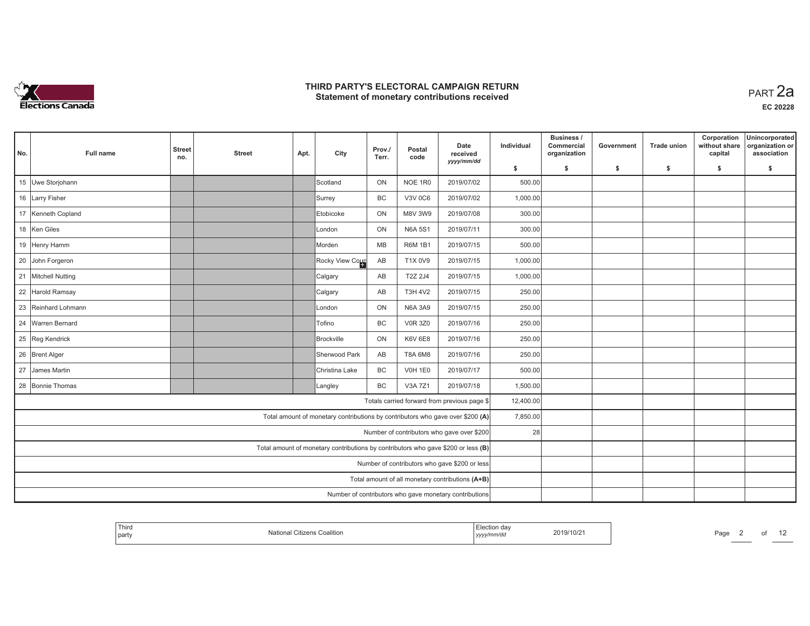

| No. | Full name                                    | <b>Street</b><br>no.                                                              | <b>Street</b> | Apt. | City            | Prov./<br>Terr.        | Postal<br>code                                         | Date<br>received<br>yyyy/mm/dd | Individual | Business /<br>Commercial<br>organization | Government | <b>Trade union</b> | Corporation<br>without share<br>capital | Unincorporated<br>organization or<br>association |
|-----|----------------------------------------------|-----------------------------------------------------------------------------------|---------------|------|-----------------|------------------------|--------------------------------------------------------|--------------------------------|------------|------------------------------------------|------------|--------------------|-----------------------------------------|--------------------------------------------------|
|     |                                              |                                                                                   |               |      |                 |                        |                                                        |                                | \$         | s.                                       | \$         | -\$                | \$                                      | \$                                               |
|     | 15 Uwe Storjohann                            |                                                                                   |               |      | Scotland        | ON                     | NOE 1R0                                                | 2019/07/02                     | 500.00     |                                          |            |                    |                                         |                                                  |
|     | 16 Larry Fisher                              |                                                                                   |               |      | Surrey          | <b>BC</b>              | <b>V3V 0C6</b>                                         | 2019/07/02                     | 1,000.00   |                                          |            |                    |                                         |                                                  |
|     | 17 Kenneth Copland                           |                                                                                   |               |      | Etobicoke       | ON                     | M8V 3W9                                                | 2019/07/08                     | 300.00     |                                          |            |                    |                                         |                                                  |
|     | 18 Ken Giles                                 |                                                                                   |               |      | London          | ON                     | <b>N6A 5S1</b>                                         | 2019/07/11                     | 300.00     |                                          |            |                    |                                         |                                                  |
|     | 19 Henry Hamm                                |                                                                                   |               |      | Morden          | <b>MB</b>              | R6M 1B1                                                | 2019/07/15                     | 500.00     |                                          |            |                    |                                         |                                                  |
|     | 20 John Forgeron                             |                                                                                   |               |      | Rocky View Cour | $\mathsf{A}\mathsf{B}$ | T1X 0V9                                                | 2019/07/15                     | 1,000.00   |                                          |            |                    |                                         |                                                  |
|     | 21 Mitchell Nutting                          |                                                                                   |               |      | Calgary         | AB                     | T2Z 2J4                                                | 2019/07/15                     | 1,000.00   |                                          |            |                    |                                         |                                                  |
|     | 22 Harold Ramsay                             |                                                                                   |               |      | Calgary         | AB                     | <b>T3H 4V2</b>                                         | 2019/07/15                     | 250.00     |                                          |            |                    |                                         |                                                  |
|     | 23 Reinhard Lohmann                          |                                                                                   |               |      | London          | ON                     | <b>N6A 3A9</b>                                         | 2019/07/15                     | 250.00     |                                          |            |                    |                                         |                                                  |
|     | 24 Warren Bernard                            |                                                                                   |               |      | Tofino          | BC                     | <b>V0R 3Z0</b>                                         | 2019/07/16                     | 250.00     |                                          |            |                    |                                         |                                                  |
|     | 25 Reg Kendrick                              |                                                                                   |               |      | Brockville      | ON                     | <b>K6V 6E8</b>                                         | 2019/07/16                     | 250.00     |                                          |            |                    |                                         |                                                  |
|     | 26 Brent Alger                               |                                                                                   |               |      | Sherwood Park   | AB                     | T8A 6M8                                                | 2019/07/16                     | 250.00     |                                          |            |                    |                                         |                                                  |
|     | 27 James Martin                              |                                                                                   |               |      | Christina Lake  | BC                     | <b>V0H 1E0</b>                                         | 2019/07/17                     | 500.00     |                                          |            |                    |                                         |                                                  |
|     | 28 Bonnie Thomas                             |                                                                                   |               |      | Langley         | <b>BC</b>              | V3A 7Z1                                                | 2019/07/18                     | 1,500.00   |                                          |            |                    |                                         |                                                  |
|     | Totals carried forward from previous page \$ |                                                                                   |               |      |                 |                        |                                                        |                                |            |                                          |            |                    |                                         |                                                  |
|     |                                              | Total amount of monetary contributions by contributors who gave over \$200 (A)    | 7,850.00      |      |                 |                        |                                                        |                                |            |                                          |            |                    |                                         |                                                  |
|     |                                              | Number of contributors who gave over \$200                                        | 28            |      |                 |                        |                                                        |                                |            |                                          |            |                    |                                         |                                                  |
|     |                                              | Total amount of monetary contributions by contributors who gave \$200 or less (B) |               |      |                 |                        |                                                        |                                |            |                                          |            |                    |                                         |                                                  |
|     |                                              | Number of contributors who gave \$200 or less                                     |               |      |                 |                        |                                                        |                                |            |                                          |            |                    |                                         |                                                  |
|     |                                              | Total amount of all monetary contributions (A+B)                                  |               |      |                 |                        |                                                        |                                |            |                                          |            |                    |                                         |                                                  |
|     |                                              |                                                                                   |               |      |                 |                        | Number of contributors who gave monetary contributions |                                |            |                                          |            |                    |                                         |                                                  |

| Third<br>nart<br>μαιιγ | uannu<br>,,,,, | $-111.$ | D <sub>0</sub><br>'du |  |
|------------------------|----------------|---------|-----------------------|--|
|                        |                |         |                       |  |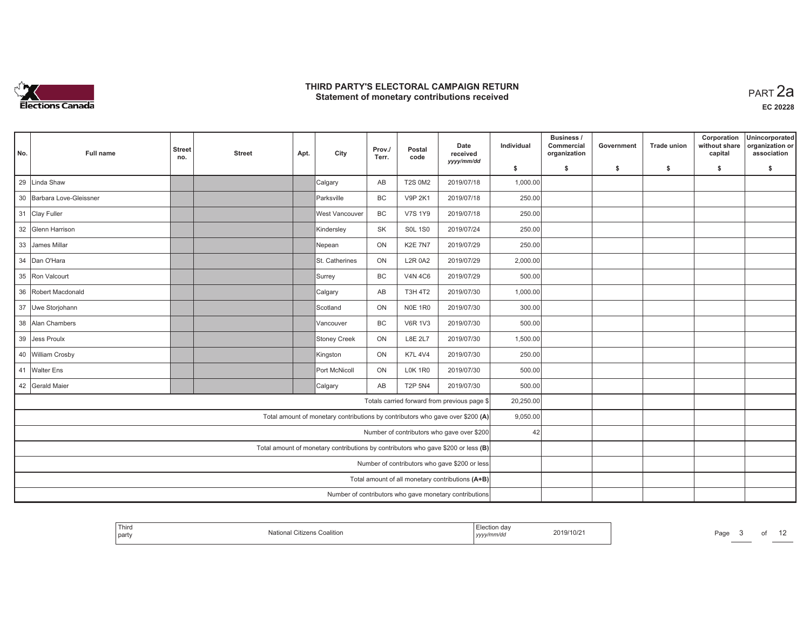

| No.                                                                            | Full name                                    | <b>Street</b><br>no.                                                              | <b>Street</b>                                          | Apt. | City           | Prov./<br>Terr. | Postal<br>code | Date<br>received<br>yyyy/mm/dd | Individual | Business /<br>Commercial<br>organization | Government | <b>Trade union</b> | Corporation<br>without share<br>capital | Unincorporated<br>organization or<br>association |
|--------------------------------------------------------------------------------|----------------------------------------------|-----------------------------------------------------------------------------------|--------------------------------------------------------|------|----------------|-----------------|----------------|--------------------------------|------------|------------------------------------------|------------|--------------------|-----------------------------------------|--------------------------------------------------|
|                                                                                |                                              |                                                                                   |                                                        |      |                |                 |                |                                | \$         | s.                                       | \$         | -\$                | \$                                      | \$                                               |
| 29                                                                             | Linda Shaw                                   |                                                                                   |                                                        |      | Calgary        | AB              | <b>T2S 0M2</b> | 2019/07/18                     | 1,000.00   |                                          |            |                    |                                         |                                                  |
|                                                                                | 30 Barbara Love-Gleissner                    |                                                                                   |                                                        |      | Parksville     | <b>BC</b>       | <b>V9P 2K1</b> | 2019/07/18                     | 250.00     |                                          |            |                    |                                         |                                                  |
|                                                                                | 31 Clay Fuller                               |                                                                                   |                                                        |      | West Vancouver | <b>BC</b>       | <b>V7S 1Y9</b> | 2019/07/18                     | 250.00     |                                          |            |                    |                                         |                                                  |
|                                                                                | 32 Glenn Harrison                            |                                                                                   |                                                        |      | Kindersley     | <b>SK</b>       | <b>S0L 1S0</b> | 2019/07/24                     | 250.00     |                                          |            |                    |                                         |                                                  |
|                                                                                | 33 James Millar                              |                                                                                   |                                                        |      | Nepean         | ON              | <b>K2E 7N7</b> | 2019/07/29                     | 250.00     |                                          |            |                    |                                         |                                                  |
|                                                                                | 34 Dan O'Hara                                |                                                                                   |                                                        |      | St. Catherines | ON              | <b>L2R 0A2</b> | 2019/07/29                     | 2,000.00   |                                          |            |                    |                                         |                                                  |
|                                                                                | 35 Ron Valcourt                              |                                                                                   |                                                        |      | Surrey         | <b>BC</b>       | <b>V4N 4C6</b> | 2019/07/29                     | 500.00     |                                          |            |                    |                                         |                                                  |
|                                                                                | 36 Robert Macdonald                          |                                                                                   |                                                        |      | Calgary        | AB              | <b>T3H 4T2</b> | 2019/07/30                     | 1,000.00   |                                          |            |                    |                                         |                                                  |
|                                                                                | 37 Uwe Storjohann                            |                                                                                   |                                                        |      | Scotland       | ON              | <b>N0E 1R0</b> | 2019/07/30                     | 300.00     |                                          |            |                    |                                         |                                                  |
|                                                                                | 38 Alan Chambers                             |                                                                                   |                                                        |      | Vancouver      | BC              | <b>V6R 1V3</b> | 2019/07/30                     | 500.00     |                                          |            |                    |                                         |                                                  |
|                                                                                | 39 Jess Proulx                               |                                                                                   |                                                        |      | Stoney Creek   | ON              | <b>L8E 2L7</b> | 2019/07/30                     | 1,500.00   |                                          |            |                    |                                         |                                                  |
|                                                                                | 40 William Crosby                            |                                                                                   |                                                        |      | Kingston       | ON              | <b>K7L 4V4</b> | 2019/07/30                     | 250.00     |                                          |            |                    |                                         |                                                  |
|                                                                                | 41 Walter Ens                                |                                                                                   |                                                        |      | Port McNicoll  | ON              | <b>L0K 1R0</b> | 2019/07/30                     | 500.00     |                                          |            |                    |                                         |                                                  |
|                                                                                | 42 Gerald Maier                              |                                                                                   |                                                        |      | Calgary        | AB              | <b>T2P 5N4</b> | 2019/07/30                     | 500.00     |                                          |            |                    |                                         |                                                  |
|                                                                                | Totals carried forward from previous page \$ |                                                                                   |                                                        |      |                |                 |                |                                |            |                                          |            |                    |                                         |                                                  |
| Total amount of monetary contributions by contributors who gave over \$200 (A) |                                              |                                                                                   |                                                        |      |                |                 |                |                                |            |                                          |            |                    |                                         |                                                  |
|                                                                                |                                              | Number of contributors who gave over \$200                                        | 42                                                     |      |                |                 |                |                                |            |                                          |            |                    |                                         |                                                  |
|                                                                                |                                              | Total amount of monetary contributions by contributors who gave \$200 or less (B) |                                                        |      |                |                 |                |                                |            |                                          |            |                    |                                         |                                                  |
|                                                                                |                                              | Number of contributors who gave \$200 or less                                     |                                                        |      |                |                 |                |                                |            |                                          |            |                    |                                         |                                                  |
|                                                                                |                                              | Total amount of all monetary contributions (A+B)                                  |                                                        |      |                |                 |                |                                |            |                                          |            |                    |                                         |                                                  |
|                                                                                |                                              |                                                                                   | Number of contributors who gave monetary contributions |      |                |                 |                |                                |            |                                          |            |                    |                                         |                                                  |

| Coalition<br>. .ifizer<br>l party<br>nmra<br>,,,,, | Page |  | ⊦da\<br>119/10/21 |  | Third |
|----------------------------------------------------|------|--|-------------------|--|-------|
|----------------------------------------------------|------|--|-------------------|--|-------|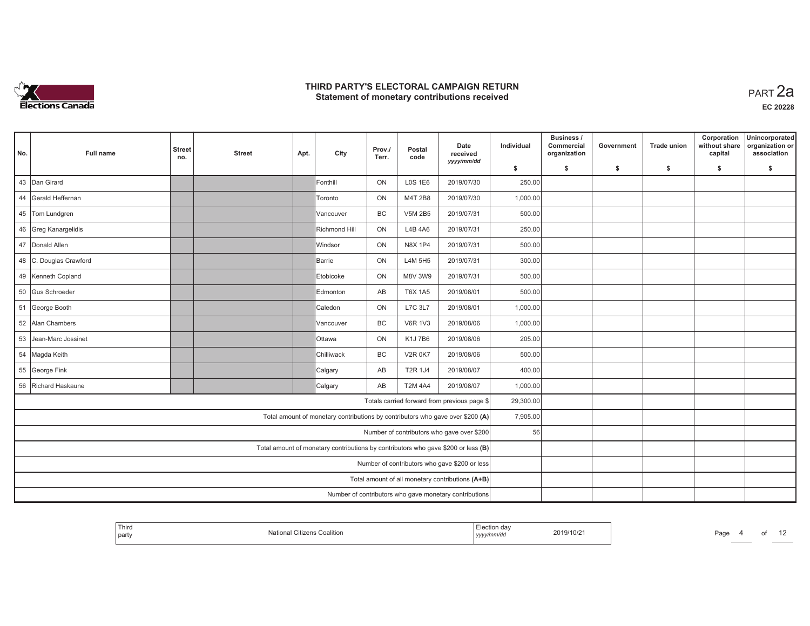

| No.                                                                            | Full name              | <b>Street</b><br>no.                                                              | <b>Street</b> | Apt. | City          | Prov./<br>Terr. | Postal<br>code                                                                                             | Date<br>received<br>yyyy/mm/dd | Individual | Business /<br>Commercial<br>organization | Government | <b>Trade union</b> | Corporation<br>without share<br>capital | Unincorporated<br>organization or<br>association |  |  |  |
|--------------------------------------------------------------------------------|------------------------|-----------------------------------------------------------------------------------|---------------|------|---------------|-----------------|------------------------------------------------------------------------------------------------------------|--------------------------------|------------|------------------------------------------|------------|--------------------|-----------------------------------------|--------------------------------------------------|--|--|--|
|                                                                                |                        |                                                                                   |               |      |               |                 |                                                                                                            |                                | \$         | s.                                       | \$         | -\$                | \$                                      | \$                                               |  |  |  |
|                                                                                | 43 Dan Girard          |                                                                                   |               |      | Fonthill      | ON              | <b>LOS 1E6</b>                                                                                             | 2019/07/30                     | 250.00     |                                          |            |                    |                                         |                                                  |  |  |  |
|                                                                                | 44 Gerald Heffernan    |                                                                                   |               |      | Toronto       | ON              | M4T 2B8                                                                                                    | 2019/07/30                     | 1,000.00   |                                          |            |                    |                                         |                                                  |  |  |  |
|                                                                                | 45 Tom Lundgren        |                                                                                   |               |      | Vancouver     | <b>BC</b>       | <b>V5M 2B5</b>                                                                                             | 2019/07/31                     | 500.00     |                                          |            |                    |                                         |                                                  |  |  |  |
|                                                                                | 46 Greg Kanargelidis   |                                                                                   |               |      | Richmond Hill | ON              | L4B 4A6                                                                                                    | 2019/07/31                     | 250.00     |                                          |            |                    |                                         |                                                  |  |  |  |
|                                                                                | 47 Donald Allen        |                                                                                   |               |      | Windsor       | ON              | N8X 1P4                                                                                                    | 2019/07/31                     | 500.00     |                                          |            |                    |                                         |                                                  |  |  |  |
|                                                                                | 48 C. Douglas Crawford |                                                                                   |               |      | Barrie        | ON              | L4M 5H5                                                                                                    | 2019/07/31                     | 300.00     |                                          |            |                    |                                         |                                                  |  |  |  |
|                                                                                | 49 Kenneth Copland     |                                                                                   |               |      | Etobicoke     | ON              | M8V 3W9                                                                                                    | 2019/07/31                     | 500.00     |                                          |            |                    |                                         |                                                  |  |  |  |
|                                                                                | 50 Gus Schroeder       |                                                                                   |               |      | Edmonton      | AB              | <b>T6X 1A5</b>                                                                                             | 2019/08/01                     | 500.00     |                                          |            |                    |                                         |                                                  |  |  |  |
|                                                                                | 51 George Booth        |                                                                                   |               |      | Caledon       | ON              | L7C 3L7                                                                                                    | 2019/08/01                     | 1,000.00   |                                          |            |                    |                                         |                                                  |  |  |  |
|                                                                                | 52 Alan Chambers       |                                                                                   |               |      | Vancouver     | BC              | <b>V6R 1V3</b>                                                                                             | 2019/08/06                     | 1,000.00   |                                          |            |                    |                                         |                                                  |  |  |  |
|                                                                                | 53 Jean-Marc Jossinet  |                                                                                   |               |      | <b>Ottawa</b> | ON              | K1J7B6                                                                                                     | 2019/08/06                     | 205.00     |                                          |            |                    |                                         |                                                  |  |  |  |
|                                                                                | 54 Magda Keith         |                                                                                   |               |      | Chilliwack    | <b>BC</b>       | <b>V2R 0K7</b>                                                                                             | 2019/08/06                     | 500.00     |                                          |            |                    |                                         |                                                  |  |  |  |
|                                                                                | 55 George Fink         |                                                                                   |               |      | Calgary       | AB              | T2R 1J4                                                                                                    | 2019/08/07                     | 400.00     |                                          |            |                    |                                         |                                                  |  |  |  |
|                                                                                | 56 Richard Haskaune    |                                                                                   |               |      | Calgary       | AB              | <b>T2M 4A4</b>                                                                                             | 2019/08/07                     | 1,000.00   |                                          |            |                    |                                         |                                                  |  |  |  |
| Totals carried forward from previous page \$                                   |                        |                                                                                   |               |      |               |                 |                                                                                                            |                                | 29,300.00  |                                          |            |                    |                                         |                                                  |  |  |  |
| Total amount of monetary contributions by contributors who gave over \$200 (A) |                        |                                                                                   |               |      |               |                 |                                                                                                            |                                |            |                                          |            |                    |                                         |                                                  |  |  |  |
|                                                                                |                        | Number of contributors who gave over \$200                                        | 56            |      |               |                 |                                                                                                            |                                |            |                                          |            |                    |                                         |                                                  |  |  |  |
|                                                                                |                        | Total amount of monetary contributions by contributors who gave \$200 or less (B) |               |      |               |                 |                                                                                                            |                                |            |                                          |            |                    |                                         |                                                  |  |  |  |
|                                                                                |                        | Number of contributors who gave \$200 or less                                     |               |      |               |                 |                                                                                                            |                                |            |                                          |            |                    |                                         |                                                  |  |  |  |
|                                                                                |                        |                                                                                   |               |      |               |                 |                                                                                                            |                                |            |                                          |            |                    |                                         |                                                  |  |  |  |
|                                                                                |                        |                                                                                   |               |      |               |                 | Total amount of all monetary contributions (A+B)<br>Number of contributors who gave monetary contributions |                                |            |                                          |            |                    |                                         |                                                  |  |  |  |

| Third<br>Iotional<br>ıs Coalitior<br>.rizer<br>  party | aa<br>2019/10/2<br>,,,,, | Page |  |
|--------------------------------------------------------|--------------------------|------|--|
|--------------------------------------------------------|--------------------------|------|--|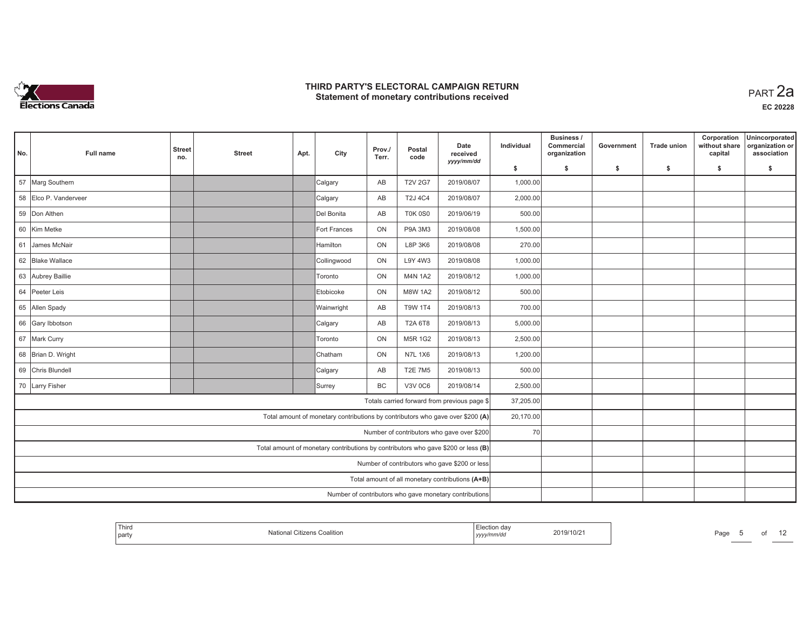

**EC 20228**

| No. | <b>Full name</b>      | <b>Street</b><br>no. | <b>Street</b> | Apt. | City                                                                              | Prov./<br>Terr. | Postal<br>code | Date<br>received<br>yyyy/mm/dd                         | Individual | Business /<br>Commercial<br>organization | Government | Trade union | Corporation<br>without share<br>capital | Unincorporated<br>organization or<br>association |
|-----|-----------------------|----------------------|---------------|------|-----------------------------------------------------------------------------------|-----------------|----------------|--------------------------------------------------------|------------|------------------------------------------|------------|-------------|-----------------------------------------|--------------------------------------------------|
|     |                       |                      |               |      |                                                                                   |                 |                |                                                        | \$         | s.                                       | -\$        | -\$         | \$                                      | \$                                               |
| 57  | Marg Southern         |                      |               |      | Calgary                                                                           | AB              | <b>T2V 2G7</b> | 2019/08/07                                             | 1,000.00   |                                          |            |             |                                         |                                                  |
|     | 58 Elco P. Vanderveer |                      |               |      | Calgary                                                                           | AB              | <b>T2J 4C4</b> | 2019/08/07                                             | 2,000.00   |                                          |            |             |                                         |                                                  |
|     | 59 Don Althen         |                      |               |      | Del Bonita                                                                        | AB              | <b>T0K 0S0</b> | 2019/06/19                                             | 500.00     |                                          |            |             |                                         |                                                  |
|     | 60 Kim Metke          |                      |               |      | Fort Frances                                                                      | ON              | P9A 3M3        | 2019/08/08                                             | 1,500.00   |                                          |            |             |                                         |                                                  |
| 61  | James McNair          |                      |               |      | Hamilton                                                                          | ON              | L8P 3K6        | 2019/08/08                                             | 270.00     |                                          |            |             |                                         |                                                  |
|     | 62 Blake Wallace      |                      |               |      | Collingwood                                                                       | ON              | L9Y 4W3        | 2019/08/08                                             | 1,000.00   |                                          |            |             |                                         |                                                  |
|     | 63 Aubrey Baillie     |                      |               |      | <b>Toronto</b>                                                                    | ON              | <b>M4N 1A2</b> | 2019/08/12                                             | 1,000.00   |                                          |            |             |                                         |                                                  |
|     | 64 Peeter Leis        |                      |               |      | Etobicoke                                                                         | ON              | <b>M8W 1A2</b> | 2019/08/12                                             | 500.00     |                                          |            |             |                                         |                                                  |
|     | 65 Allen Spady        |                      |               |      | Wainwright                                                                        | AB              | <b>T9W 1T4</b> | 2019/08/13                                             | 700.00     |                                          |            |             |                                         |                                                  |
|     | 66 Gary Ibbotson      |                      |               |      | Calgary                                                                           | AB              | <b>T2A 6T8</b> | 2019/08/13                                             | 5,000.00   |                                          |            |             |                                         |                                                  |
|     | 67 Mark Curry         |                      |               |      | Toronto                                                                           | ON              | M5R 1G2        | 2019/08/13                                             | 2,500.00   |                                          |            |             |                                         |                                                  |
|     | 68 Brian D. Wright    |                      |               |      | Chatham                                                                           | ON              | <b>N7L 1X6</b> | 2019/08/13                                             | 1,200.00   |                                          |            |             |                                         |                                                  |
|     | 69 Chris Blundell     |                      |               |      | Calgary                                                                           | AB              | <b>T2E 7M5</b> | 2019/08/13                                             | 500.00     |                                          |            |             |                                         |                                                  |
|     | 70 Larry Fisher       |                      |               |      | Surrey                                                                            | BC              | <b>V3V 0C6</b> | 2019/08/14                                             | 2,500.00   |                                          |            |             |                                         |                                                  |
|     |                       |                      |               |      |                                                                                   |                 |                | Totals carried forward from previous page \$           | 37,205.00  |                                          |            |             |                                         |                                                  |
|     |                       |                      |               |      | Total amount of monetary contributions by contributors who gave over \$200 (A)    |                 |                |                                                        | 20,170.00  |                                          |            |             |                                         |                                                  |
|     |                       |                      |               |      |                                                                                   |                 |                | Number of contributors who gave over \$200             | 70         |                                          |            |             |                                         |                                                  |
|     |                       |                      |               |      | Total amount of monetary contributions by contributors who gave \$200 or less (B) |                 |                |                                                        |            |                                          |            |             |                                         |                                                  |
|     |                       |                      |               |      |                                                                                   |                 |                | Number of contributors who gave \$200 or less          |            |                                          |            |             |                                         |                                                  |
|     |                       |                      |               |      |                                                                                   |                 |                | Total amount of all monetary contributions (A+B)       |            |                                          |            |             |                                         |                                                  |
|     |                       |                      |               |      |                                                                                   |                 |                | Number of contributors who gave monetary contributions |            |                                          |            |             |                                         |                                                  |

| Third<br>  party | Iotional<br>ıs Coalitior<br>.rizer | aa<br>. | 2019/10/2 | Page | $^{\circ}$ |
|------------------|------------------------------------|---------|-----------|------|------------|
|                  |                                    |         |           |      |            |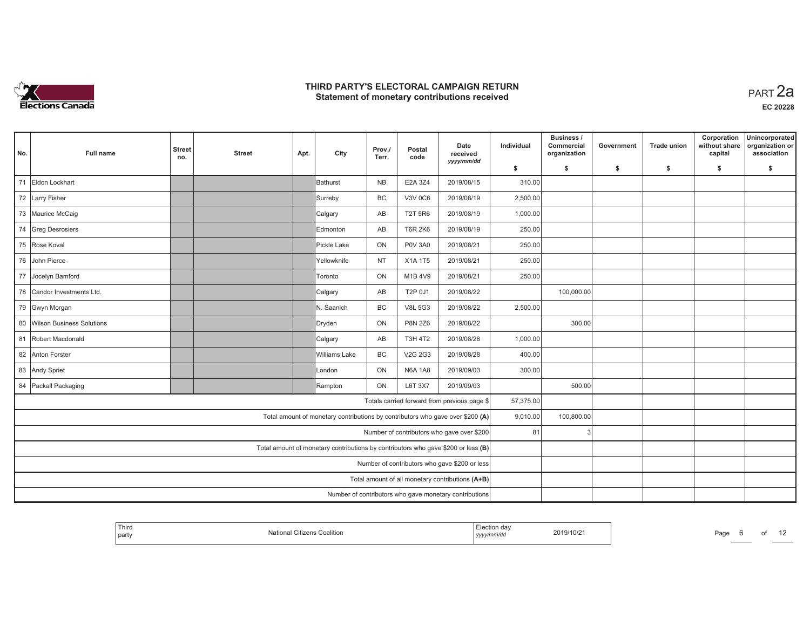

| No. | Full name                                     | <b>Street</b><br>no.                                   | <b>Street</b> | Apt. | City                                                                              | Prov./<br>Terr. | Postal<br>code | Date<br>received<br>yyyy/mm/dd                   | Individual | Business /<br>Commercial<br>organization | Government | <b>Trade union</b> | Corporation<br>without share<br>capital | Unincorporated<br>organization or<br>association |
|-----|-----------------------------------------------|--------------------------------------------------------|---------------|------|-----------------------------------------------------------------------------------|-----------------|----------------|--------------------------------------------------|------------|------------------------------------------|------------|--------------------|-----------------------------------------|--------------------------------------------------|
|     |                                               |                                                        |               |      |                                                                                   |                 |                |                                                  | \$         | s.                                       | \$         | -\$                | \$                                      | \$                                               |
| 71  | Eldon Lockhart                                |                                                        |               |      | Bathurst                                                                          | <b>NB</b>       | E2A 3Z4        | 2019/08/15                                       | 310.00     |                                          |            |                    |                                         |                                                  |
|     | 72 Larry Fisher                               |                                                        |               |      | Surreby                                                                           | <b>BC</b>       | <b>V3V 0C6</b> | 2019/08/19                                       | 2,500.00   |                                          |            |                    |                                         |                                                  |
|     | 73 Maurice McCaig                             |                                                        |               |      | Calgary                                                                           | AB              | <b>T2T 5R6</b> | 2019/08/19                                       | 1,000.00   |                                          |            |                    |                                         |                                                  |
|     | 74 Greg Desrosiers                            |                                                        |               |      | Edmonton                                                                          | AB              | <b>T6R 2K6</b> | 2019/08/19                                       | 250.00     |                                          |            |                    |                                         |                                                  |
|     | 75 Rose Koval                                 |                                                        |               |      | Pickle Lake                                                                       | ON              | <b>P0V 3A0</b> | 2019/08/21                                       | 250.00     |                                          |            |                    |                                         |                                                  |
|     | 76 John Pierce                                |                                                        |               |      | Yellowknife                                                                       | <b>NT</b>       | X1A 1T5        | 2019/08/21                                       | 250.00     |                                          |            |                    |                                         |                                                  |
|     | 77 Jocelyn Bamford                            |                                                        |               |      | Toronto                                                                           | ON              | M1B 4V9        | 2019/08/21                                       | 250.00     |                                          |            |                    |                                         |                                                  |
|     | 78 Candor Investments Ltd.                    |                                                        |               |      | Calgary                                                                           | AB              | T2P 0J1        | 2019/08/22                                       |            | 100,000.00                               |            |                    |                                         |                                                  |
|     | 79 Gwyn Morgan                                |                                                        |               |      | N. Saanich                                                                        | <b>BC</b>       | <b>V8L 5G3</b> | 2019/08/22                                       | 2,500.00   |                                          |            |                    |                                         |                                                  |
|     | 80 Wilson Business Solutions                  |                                                        |               |      | Dryden                                                                            | ON              | <b>P8N 2Z6</b> | 2019/08/22                                       |            | 300.00                                   |            |                    |                                         |                                                  |
|     | 81 Robert Macdonald                           |                                                        |               |      | Calgary                                                                           | AB              | <b>T3H 4T2</b> | 2019/08/28                                       | 1,000.00   |                                          |            |                    |                                         |                                                  |
|     | 82 Anton Forster                              |                                                        |               |      | Williams Lake                                                                     | <b>BC</b>       | V2G 2G3        | 2019/08/28                                       | 400.00     |                                          |            |                    |                                         |                                                  |
|     | 83 Andy Spriet                                |                                                        |               |      | London                                                                            | ON              | <b>N6A 1A8</b> | 2019/09/03                                       | 300.00     |                                          |            |                    |                                         |                                                  |
|     | 84 Packall Packaging                          |                                                        |               |      | Rampton                                                                           | ON              | L6T 3X7        | 2019/09/03                                       |            | 500.00                                   |            |                    |                                         |                                                  |
|     |                                               |                                                        |               |      |                                                                                   |                 |                | Totals carried forward from previous page \$     | 57,375.00  |                                          |            |                    |                                         |                                                  |
|     |                                               |                                                        |               |      | Total amount of monetary contributions by contributors who gave over \$200 (A)    |                 |                |                                                  | 9,010.00   | 100,800.00                               |            |                    |                                         |                                                  |
|     |                                               |                                                        |               |      |                                                                                   |                 |                | Number of contributors who gave over \$200       | 81         |                                          |            |                    |                                         |                                                  |
|     |                                               |                                                        |               |      | Total amount of monetary contributions by contributors who gave \$200 or less (B) |                 |                |                                                  |            |                                          |            |                    |                                         |                                                  |
|     | Number of contributors who gave \$200 or less |                                                        |               |      |                                                                                   |                 |                |                                                  |            |                                          |            |                    |                                         |                                                  |
|     |                                               |                                                        |               |      |                                                                                   |                 |                | Total amount of all monetary contributions (A+B) |            |                                          |            |                    |                                         |                                                  |
|     |                                               | Number of contributors who gave monetary contributions |               |      |                                                                                   |                 |                |                                                  |            |                                          |            |                    |                                         |                                                  |

| <sup>I</sup> Third<br>'s Coalition.<br>part<br>umzena | $m$ de<br>scuon ua<br>2019/10/2<br>/v/mm/d<br>11111 | Page<br>$^{\circ}$ |
|-------------------------------------------------------|-----------------------------------------------------|--------------------|
|-------------------------------------------------------|-----------------------------------------------------|--------------------|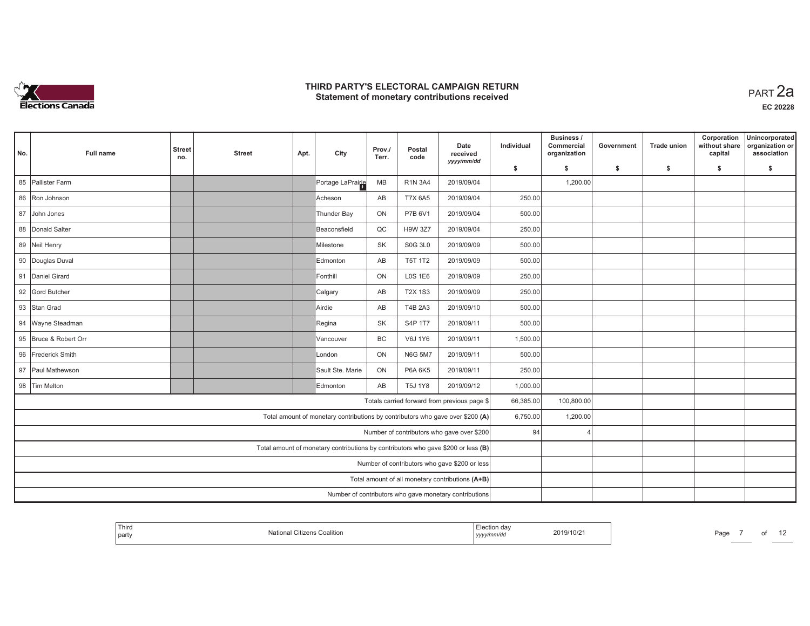

| No. | <b>Full name</b>                              | <b>Street</b><br>no. | <b>Street</b> | Apt. | City                                                                              | Prov./<br>Terr. | Postal<br>code | Date<br>received<br>yyyy/mm/dd                         | Individual | Business /<br>Commercial<br>organization | Government | <b>Trade union</b> | Corporation<br>without share<br>capital | Unincorporated<br>organization or<br>association |
|-----|-----------------------------------------------|----------------------|---------------|------|-----------------------------------------------------------------------------------|-----------------|----------------|--------------------------------------------------------|------------|------------------------------------------|------------|--------------------|-----------------------------------------|--------------------------------------------------|
|     |                                               |                      |               |      |                                                                                   |                 |                |                                                        | \$         | s.                                       | -\$        | -\$                | \$                                      | \$                                               |
|     | 85 Pallister Farm                             |                      |               |      | Portage LaPrairie                                                                 | MB              | <b>R1N 3A4</b> | 2019/09/04                                             |            | 1,200.00                                 |            |                    |                                         |                                                  |
|     | 86 Ron Johnson                                |                      |               |      | lAcheson                                                                          | AB              | <b>T7X 6A5</b> | 2019/09/04                                             | 250.00     |                                          |            |                    |                                         |                                                  |
|     | 87 John Jones                                 |                      |               |      | Thunder Bay                                                                       | ON              | P7B 6V1        | 2019/09/04                                             | 500.00     |                                          |            |                    |                                         |                                                  |
|     | 88 Donald Salter                              |                      |               |      | Beaconsfield                                                                      | QC              | <b>H9W 3Z7</b> | 2019/09/04                                             | 250.00     |                                          |            |                    |                                         |                                                  |
|     | 89 Neil Henry                                 |                      |               |      | Milestone                                                                         | <b>SK</b>       | <b>S0G 3L0</b> | 2019/09/09                                             | 500.00     |                                          |            |                    |                                         |                                                  |
|     | 90 Douglas Duval                              |                      |               |      | Edmonton                                                                          | AB              | <b>T5T 1T2</b> | 2019/09/09                                             | 500.00     |                                          |            |                    |                                         |                                                  |
|     | 91 Daniel Girard                              |                      |               |      | Fonthill                                                                          | ON              | <b>LOS 1E6</b> | 2019/09/09                                             | 250.00     |                                          |            |                    |                                         |                                                  |
|     | 92 Gord Butcher                               |                      |               |      | Calgary                                                                           | AB              | <b>T2X 1S3</b> | 2019/09/09                                             | 250.00     |                                          |            |                    |                                         |                                                  |
|     | 93 Stan Grad                                  |                      |               |      | Airdie                                                                            | AB              | T4B 2A3        | 2019/09/10                                             | 500.00     |                                          |            |                    |                                         |                                                  |
|     | 94 Wayne Steadman                             |                      |               |      | Regina                                                                            | <b>SK</b>       | S4P 1T7        | 2019/09/11                                             | 500.00     |                                          |            |                    |                                         |                                                  |
|     | 95 Bruce & Robert Orr                         |                      |               |      | Vancouver                                                                         | BC              | V6J 1Y6        | 2019/09/11                                             | 1,500.00   |                                          |            |                    |                                         |                                                  |
|     | 96 Frederick Smith                            |                      |               |      | London                                                                            | ON              | <b>N6G 5M7</b> | 2019/09/11                                             | 500.00     |                                          |            |                    |                                         |                                                  |
|     | 97 Paul Mathewson                             |                      |               |      | Sault Ste. Marie                                                                  | ON              | <b>P6A 6K5</b> | 2019/09/11                                             | 250.00     |                                          |            |                    |                                         |                                                  |
|     | 98 Tim Melton                                 |                      |               |      | Edmonton                                                                          | AB              | <b>T5J 1Y8</b> | 2019/09/12                                             | 1,000.00   |                                          |            |                    |                                         |                                                  |
|     |                                               |                      |               |      |                                                                                   |                 |                | Totals carried forward from previous page \$           | 66,385.00  | 100,800.00                               |            |                    |                                         |                                                  |
|     |                                               |                      |               |      | Total amount of monetary contributions by contributors who gave over \$200 (A)    |                 |                |                                                        | 6,750.00   | 1,200.00                                 |            |                    |                                         |                                                  |
|     |                                               |                      |               |      |                                                                                   |                 |                | Number of contributors who gave over \$200             | 94         |                                          |            |                    |                                         |                                                  |
|     |                                               |                      |               |      | Total amount of monetary contributions by contributors who gave \$200 or less (B) |                 |                |                                                        |            |                                          |            |                    |                                         |                                                  |
|     | Number of contributors who gave \$200 or less |                      |               |      |                                                                                   |                 |                |                                                        |            |                                          |            |                    |                                         |                                                  |
|     |                                               |                      |               |      |                                                                                   |                 |                | Total amount of all monetary contributions (A+B)       |            |                                          |            |                    |                                         |                                                  |
|     |                                               |                      |               |      |                                                                                   |                 |                | Number of contributors who gave monetary contributions |            |                                          |            |                    |                                         |                                                  |

| Third<br>party | Coalition | ,,,,, | 3/10/21 | Page<br>. |  |  |  |
|----------------|-----------|-------|---------|-----------|--|--|--|
|----------------|-----------|-------|---------|-----------|--|--|--|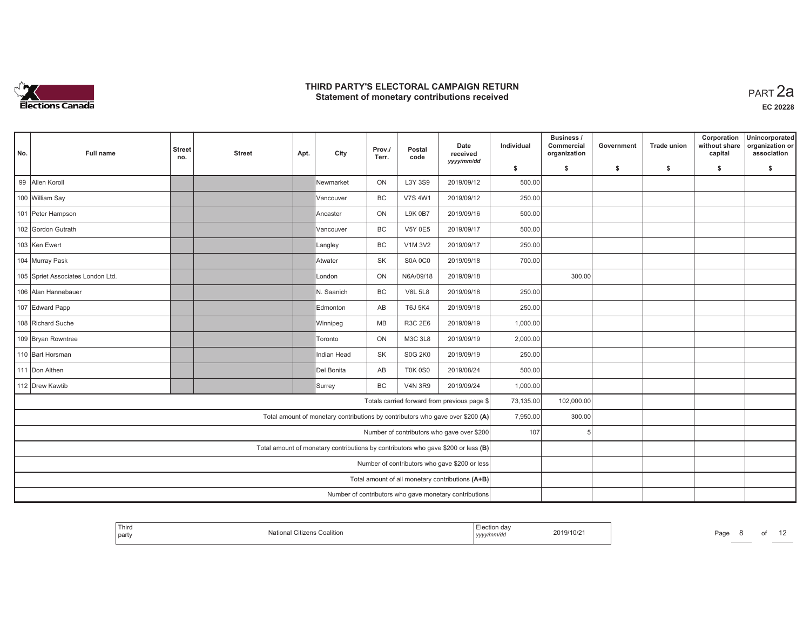

| No. | Full name                                              | <b>Street</b><br>no. | <b>Street</b> | Apt. | City                                                                              | Prov./<br>Terr. | Postal<br>code | Date<br>received<br>yyyy/mm/dd                   | Individual | Business /<br>Commercial<br>organization | Government | <b>Trade union</b> | Corporation<br>without share<br>capital | Unincorporated<br>organization or<br>association |
|-----|--------------------------------------------------------|----------------------|---------------|------|-----------------------------------------------------------------------------------|-----------------|----------------|--------------------------------------------------|------------|------------------------------------------|------------|--------------------|-----------------------------------------|--------------------------------------------------|
|     |                                                        |                      |               |      |                                                                                   |                 |                |                                                  | \$         | s.                                       | \$         | -\$                | \$                                      | \$                                               |
|     | 99 Allen Koroll                                        |                      |               |      | Newmarket                                                                         | ON              | L3Y 3S9        | 2019/09/12                                       | 500.00     |                                          |            |                    |                                         |                                                  |
|     | 100 William Say                                        |                      |               |      | Vancouver                                                                         | <b>BC</b>       | <b>V7S 4W1</b> | 2019/09/12                                       | 250.00     |                                          |            |                    |                                         |                                                  |
|     | 101 Peter Hampson                                      |                      |               |      | Ancaster                                                                          | ON              | <b>L9K 0B7</b> | 2019/09/16                                       | 500.00     |                                          |            |                    |                                         |                                                  |
|     | 102 Gordon Gutrath                                     |                      |               |      | Vancouver                                                                         | BC              | <b>V5Y 0E5</b> | 2019/09/17                                       | 500.00     |                                          |            |                    |                                         |                                                  |
|     | 103 Ken Ewert                                          |                      |               |      | Langley                                                                           | BC              | V1M 3V2        | 2019/09/17                                       | 250.00     |                                          |            |                    |                                         |                                                  |
|     | 104 Murray Pask                                        |                      |               |      | Atwater                                                                           | <b>SK</b>       | <b>S0A 0C0</b> | 2019/09/18                                       | 700.00     |                                          |            |                    |                                         |                                                  |
|     | 105 Spriet Associates London Ltd.                      |                      |               |      | London                                                                            | ON              | N6A/09/18      | 2019/09/18                                       |            | 300.00                                   |            |                    |                                         |                                                  |
|     | 106 Alan Hannebauer                                    |                      |               |      | N. Saanich                                                                        | <b>BC</b>       | <b>V8L 5L8</b> | 2019/09/18                                       | 250.00     |                                          |            |                    |                                         |                                                  |
|     | 107 Edward Papp                                        |                      |               |      | Edmonton                                                                          | AB              | <b>T6J 5K4</b> | 2019/09/18                                       | 250.00     |                                          |            |                    |                                         |                                                  |
|     | 108 Richard Suche                                      |                      |               |      | Winnipeg                                                                          | MB              | R3C 2E6        | 2019/09/19                                       | 1,000.00   |                                          |            |                    |                                         |                                                  |
|     | 109 Bryan Rowntree                                     |                      |               |      | Toronto                                                                           | ON              | <b>M3C 3L8</b> | 2019/09/19                                       | 2,000.00   |                                          |            |                    |                                         |                                                  |
|     | 110 Bart Horsman                                       |                      |               |      | Indian Head                                                                       | <b>SK</b>       | <b>S0G 2K0</b> | 2019/09/19                                       | 250.00     |                                          |            |                    |                                         |                                                  |
|     | 111 Don Althen                                         |                      |               |      | Del Bonita                                                                        | AB              | <b>T0K 0S0</b> | 2019/08/24                                       | 500.00     |                                          |            |                    |                                         |                                                  |
|     | 112 Drew Kawtib                                        |                      |               |      | Surrey                                                                            | <b>BC</b>       | <b>V4N 3R9</b> | 2019/09/24                                       | 1,000.00   |                                          |            |                    |                                         |                                                  |
|     |                                                        |                      |               |      |                                                                                   |                 |                | Totals carried forward from previous page \$     | 73,135.00  | 102,000.00                               |            |                    |                                         |                                                  |
|     |                                                        |                      |               |      | Total amount of monetary contributions by contributors who gave over \$200 (A)    |                 |                |                                                  | 7,950.00   | 300.00                                   |            |                    |                                         |                                                  |
|     |                                                        |                      |               |      |                                                                                   |                 |                | Number of contributors who gave over \$200       | 107        |                                          |            |                    |                                         |                                                  |
|     |                                                        |                      |               |      | Total amount of monetary contributions by contributors who gave \$200 or less (B) |                 |                |                                                  |            |                                          |            |                    |                                         |                                                  |
|     | Number of contributors who gave \$200 or less          |                      |               |      |                                                                                   |                 |                |                                                  |            |                                          |            |                    |                                         |                                                  |
|     |                                                        |                      |               |      |                                                                                   |                 |                | Total amount of all monetary contributions (A+B) |            |                                          |            |                    |                                         |                                                  |
|     | Number of contributors who gave monetary contributions |                      |               |      |                                                                                   |                 |                |                                                  |            |                                          |            |                    |                                         |                                                  |

| party<br>. | Third | Iotional<br>ıs Coalitior<br>.rizer | aa<br>2019/10/2 | Page | . . |
|------------|-------|------------------------------------|-----------------|------|-----|
|------------|-------|------------------------------------|-----------------|------|-----|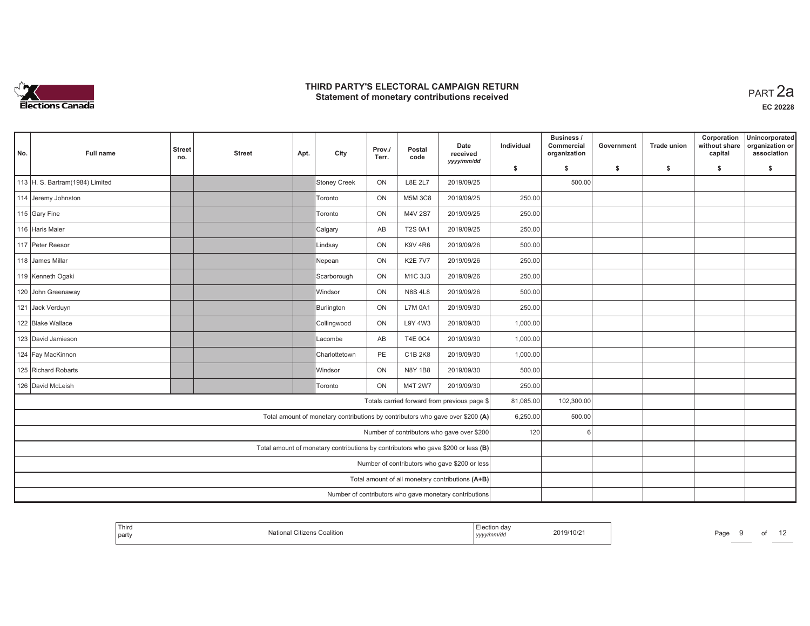

| No. | <b>Full name</b>                                 | <b>Street</b><br>no. | <b>Street</b> | Apt. | City                                                                              | Prov./<br>Terr. | Postal<br>code | Date<br>received<br>yyyy/mm/dd                         | Individual | Business /<br>Commercial<br>organization | Government | <b>Trade union</b> | Corporation<br>without share<br>capital | Unincorporated<br>organization or<br>association |
|-----|--------------------------------------------------|----------------------|---------------|------|-----------------------------------------------------------------------------------|-----------------|----------------|--------------------------------------------------------|------------|------------------------------------------|------------|--------------------|-----------------------------------------|--------------------------------------------------|
|     |                                                  |                      |               |      |                                                                                   |                 |                |                                                        | \$         | s.                                       | \$         | -\$                | \$                                      | s.                                               |
|     | 113 H. S. Bartram(1984) Limited                  |                      |               |      | Stoney Creek                                                                      | ON              | <b>L8E 2L7</b> | 2019/09/25                                             |            | 500.00                                   |            |                    |                                         |                                                  |
|     | 114 Jeremy Johnston                              |                      |               |      | Toronto                                                                           | ON              | M5M 3C8        | 2019/09/25                                             | 250.00     |                                          |            |                    |                                         |                                                  |
|     | 115 Gary Fine                                    |                      |               |      | Toronto                                                                           | ON              | M4V 2S7        | 2019/09/25                                             | 250.00     |                                          |            |                    |                                         |                                                  |
|     | 116 Haris Maier                                  |                      |               |      | Calgary                                                                           | AB              | <b>T2S 0A1</b> | 2019/09/25                                             | 250.00     |                                          |            |                    |                                         |                                                  |
|     | 117 Peter Reesor                                 |                      |               |      | Lindsay                                                                           | ON              | <b>K9V 4R6</b> | 2019/09/26                                             | 500.00     |                                          |            |                    |                                         |                                                  |
|     | 118 James Millar                                 |                      |               |      | Nepean                                                                            | ON              | <b>K2E 7V7</b> | 2019/09/26                                             | 250.00     |                                          |            |                    |                                         |                                                  |
|     | 119 Kenneth Ogaki                                |                      |               |      | Scarborough                                                                       | ON              | M1C 3J3        | 2019/09/26                                             | 250.00     |                                          |            |                    |                                         |                                                  |
|     | 120 John Greenaway                               |                      |               |      | <b>Windsor</b>                                                                    | ON              | <b>N8S 4L8</b> | 2019/09/26                                             | 500.00     |                                          |            |                    |                                         |                                                  |
|     | 121 Jack Verduyn                                 |                      |               |      | Burlington                                                                        | ON              | <b>L7M 0A1</b> | 2019/09/30                                             | 250.00     |                                          |            |                    |                                         |                                                  |
|     | 122 Blake Wallace                                |                      |               |      | Collingwood                                                                       | ON              | L9Y 4W3        | 2019/09/30                                             | 1,000.00   |                                          |            |                    |                                         |                                                  |
|     | 123 David Jamieson                               |                      |               |      | Lacombe                                                                           | AB              | <b>T4E 0C4</b> | 2019/09/30                                             | 1,000.00   |                                          |            |                    |                                         |                                                  |
|     | 124 Fay MacKinnon                                |                      |               |      | Charlottetown                                                                     | PE              | C1B 2K8        | 2019/09/30                                             | 1,000.00   |                                          |            |                    |                                         |                                                  |
|     | 125 Richard Robarts                              |                      |               |      | <b>Windsor</b>                                                                    | ON              | N8Y 1B8        | 2019/09/30                                             | 500.00     |                                          |            |                    |                                         |                                                  |
|     | 126 David McLeish                                |                      |               |      | Toronto                                                                           | ON              | M4T 2W7        | 2019/09/30                                             | 250.00     |                                          |            |                    |                                         |                                                  |
|     |                                                  |                      |               |      |                                                                                   |                 |                | Totals carried forward from previous page \$           | 81,085.00  | 102,300.00                               |            |                    |                                         |                                                  |
|     |                                                  |                      |               |      | Total amount of monetary contributions by contributors who gave over \$200 (A)    |                 |                |                                                        | 6,250.00   | 500.00                                   |            |                    |                                         |                                                  |
|     |                                                  |                      |               |      |                                                                                   |                 |                | Number of contributors who gave over \$200             | 120        |                                          |            |                    |                                         |                                                  |
|     |                                                  |                      |               |      | Total amount of monetary contributions by contributors who gave \$200 or less (B) |                 |                |                                                        |            |                                          |            |                    |                                         |                                                  |
|     | Number of contributors who gave \$200 or less    |                      |               |      |                                                                                   |                 |                |                                                        |            |                                          |            |                    |                                         |                                                  |
|     | Total amount of all monetary contributions (A+B) |                      |               |      |                                                                                   |                 |                |                                                        |            |                                          |            |                    |                                         |                                                  |
|     |                                                  |                      |               |      |                                                                                   |                 |                | Number of contributors who gave monetary contributions |            |                                          |            |                    |                                         |                                                  |

| Third<br>party | Citizens Coalition | aa<br>yyyymmar | 2019/10/2 | Page | O. |  |
|----------------|--------------------|----------------|-----------|------|----|--|
|                |                    |                |           |      |    |  |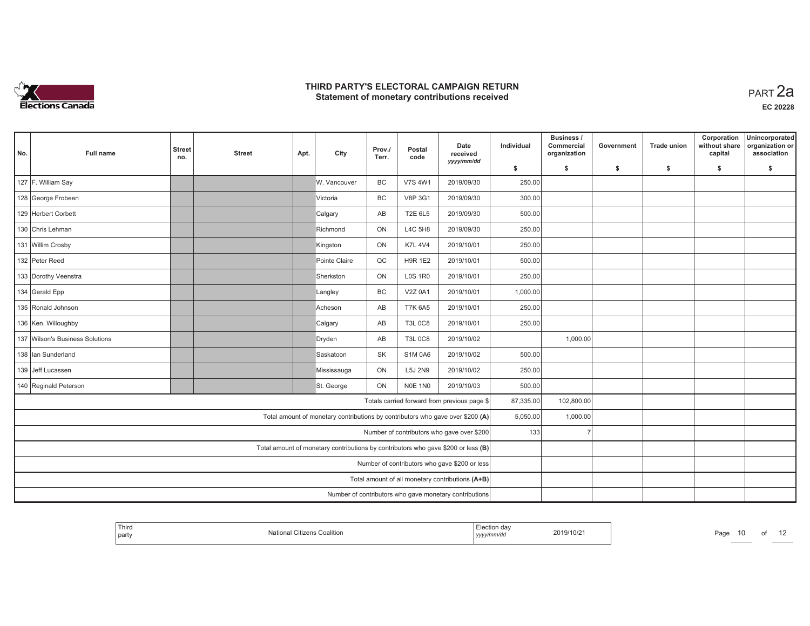

| No. | <b>Full name</b>                              | <b>Street</b><br>no.                                   | <b>Street</b> | Apt. | City                                                                              | Prov./<br>Terr. | Postal<br>code | Date<br>received<br>yyyy/mm/dd                   | Individual | <b>Business /</b><br>Commercial<br>organization | Government | <b>Trade union</b> | Corporation<br>without share<br>capital | Unincorporated<br>organization or<br>association |
|-----|-----------------------------------------------|--------------------------------------------------------|---------------|------|-----------------------------------------------------------------------------------|-----------------|----------------|--------------------------------------------------|------------|-------------------------------------------------|------------|--------------------|-----------------------------------------|--------------------------------------------------|
|     |                                               |                                                        |               |      |                                                                                   |                 |                |                                                  | \$         | s.                                              | \$         | \$                 | \$                                      | \$                                               |
|     | 127 F. William Say                            |                                                        |               |      | W. Vancouver                                                                      | <b>BC</b>       | <b>V7S 4W1</b> | 2019/09/30                                       | 250.00     |                                                 |            |                    |                                         |                                                  |
|     | 128 George Frobeen                            |                                                        |               |      | Victoria                                                                          | BC              | <b>V8P 3G1</b> | 2019/09/30                                       | 300.00     |                                                 |            |                    |                                         |                                                  |
|     | 129 Herbert Corbett                           |                                                        |               |      | Calgary                                                                           | AB              | <b>T2E 6L5</b> | 2019/09/30                                       | 500.00     |                                                 |            |                    |                                         |                                                  |
|     | 130 Chris Lehman                              |                                                        |               |      | Richmond                                                                          | ON              | <b>L4C 5H8</b> | 2019/09/30                                       | 250.00     |                                                 |            |                    |                                         |                                                  |
|     | 131 Willim Crosby                             |                                                        |               |      | Kingston                                                                          | ON              | <b>K7L 4V4</b> | 2019/10/01                                       | 250.00     |                                                 |            |                    |                                         |                                                  |
|     | 132 Peter Reed                                |                                                        |               |      | Pointe Claire                                                                     | QC              | <b>H9R 1E2</b> | 2019/10/01                                       | 500.00     |                                                 |            |                    |                                         |                                                  |
|     | 133 Dorothy Veenstra                          |                                                        |               |      | Sherkston                                                                         | ON              | <b>LOS 1R0</b> | 2019/10/01                                       | 250.00     |                                                 |            |                    |                                         |                                                  |
|     | 134 Gerald Epp                                |                                                        |               |      | Langley                                                                           | BC              | V2Z 0A1        | 2019/10/01                                       | 1,000.00   |                                                 |            |                    |                                         |                                                  |
|     | 135 Ronald Johnson                            |                                                        |               |      | Acheson                                                                           | AB              | <b>T7K 6A5</b> | 2019/10/01                                       | 250.00     |                                                 |            |                    |                                         |                                                  |
|     | 136 Ken. Willoughby                           |                                                        |               |      | Calgary                                                                           | AB              | <b>T3L 0C8</b> | 2019/10/01                                       | 250.00     |                                                 |            |                    |                                         |                                                  |
|     | 137 Wilson's Business Solutions               |                                                        |               |      | Dryden                                                                            | AB              | <b>T3L 0C8</b> | 2019/10/02                                       |            | 1,000.00                                        |            |                    |                                         |                                                  |
|     | 138 Ian Sunderland                            |                                                        |               |      | Saskatoon                                                                         | <b>SK</b>       | <b>S1M 0A6</b> | 2019/10/02                                       | 500.00     |                                                 |            |                    |                                         |                                                  |
|     | 139 Jeff Lucassen                             |                                                        |               |      | Mississauga                                                                       | ON              | L5J 2N9        | 2019/10/02                                       | 250.00     |                                                 |            |                    |                                         |                                                  |
|     | 140 Reginald Peterson                         |                                                        |               |      | St. George                                                                        | ON              | NOE 1NO        | 2019/10/03                                       | 500.00     |                                                 |            |                    |                                         |                                                  |
|     |                                               |                                                        |               |      |                                                                                   |                 |                | Totals carried forward from previous page \$     | 87,335.00  | 102,800.00                                      |            |                    |                                         |                                                  |
|     |                                               |                                                        |               |      | Total amount of monetary contributions by contributors who gave over \$200 (A)    |                 |                |                                                  | 5,050.00   | 1,000.00                                        |            |                    |                                         |                                                  |
|     |                                               |                                                        |               |      |                                                                                   |                 |                | Number of contributors who gave over \$200       | 133        |                                                 |            |                    |                                         |                                                  |
|     |                                               |                                                        |               |      | Total amount of monetary contributions by contributors who gave \$200 or less (B) |                 |                |                                                  |            |                                                 |            |                    |                                         |                                                  |
|     | Number of contributors who gave \$200 or less |                                                        |               |      |                                                                                   |                 |                |                                                  |            |                                                 |            |                    |                                         |                                                  |
|     |                                               |                                                        |               |      |                                                                                   |                 |                | Total amount of all monetary contributions (A+B) |            |                                                 |            |                    |                                         |                                                  |
|     |                                               | Number of contributors who gave monetary contributions |               |      |                                                                                   |                 |                |                                                  |            |                                                 |            |                    |                                         |                                                  |

| Third<br>Coalition<br>ifizens<br>ושמו<br>part | 2019/10/2<br>.nm/ac<br>, <i>yyyyn</i> | Page |
|-----------------------------------------------|---------------------------------------|------|
|-----------------------------------------------|---------------------------------------|------|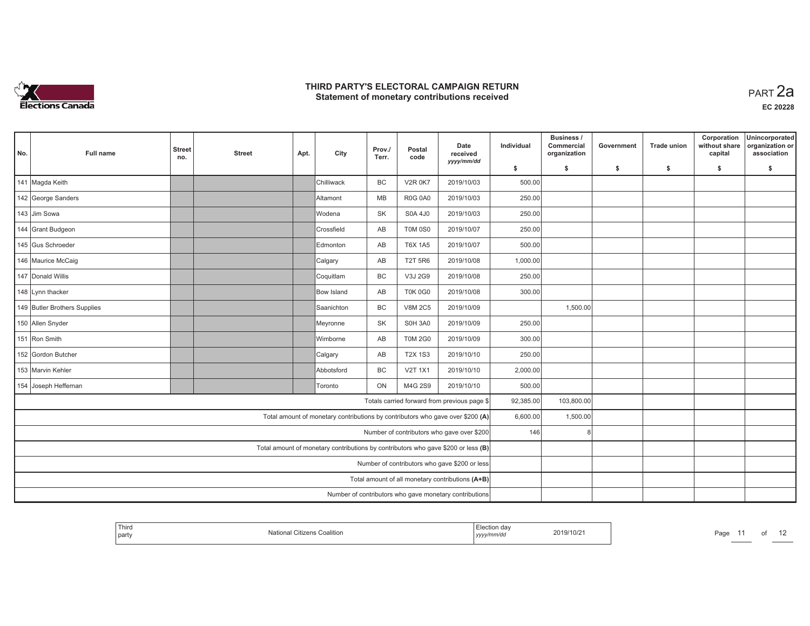

| No.                                                                  | <b>Full name</b>                                                                  | <b>Street</b><br>no. | <b>Street</b> | Apt.              | City                                                                           | Prov./<br>Terr. | Postal<br>code | Date<br>received<br>yyyy/mm/dd                         | Individual | <b>Business /</b><br>Commercial<br>organization | Government | <b>Trade union</b> | Corporation<br>without share<br>capital | Unincorporated<br>organization or<br>association |
|----------------------------------------------------------------------|-----------------------------------------------------------------------------------|----------------------|---------------|-------------------|--------------------------------------------------------------------------------|-----------------|----------------|--------------------------------------------------------|------------|-------------------------------------------------|------------|--------------------|-----------------------------------------|--------------------------------------------------|
|                                                                      |                                                                                   |                      |               |                   |                                                                                |                 |                |                                                        | \$         | s.                                              | -\$        | -\$                | \$                                      | s.                                               |
|                                                                      | 141 Magda Keith                                                                   |                      |               |                   | Chilliwack                                                                     | <b>BC</b>       | <b>V2R 0K7</b> | 2019/10/03                                             | 500.00     |                                                 |            |                    |                                         |                                                  |
|                                                                      | 142 George Sanders                                                                |                      |               | <b>Altamont</b>   | MB                                                                             | <b>R0G 0A0</b>  | 2019/10/03     | 250.00                                                 |            |                                                 |            |                    |                                         |                                                  |
|                                                                      | 143 Jim Sowa                                                                      |                      |               |                   | Wodena                                                                         | <b>SK</b>       | S0A 4J0        | 2019/10/03                                             | 250.00     |                                                 |            |                    |                                         |                                                  |
|                                                                      | 144 Grant Budgeon                                                                 |                      |               |                   | Crossfield                                                                     | AB              | <b>T0M 0S0</b> | 2019/10/07                                             | 250.00     |                                                 |            |                    |                                         |                                                  |
|                                                                      | 145 Gus Schroeder                                                                 |                      |               |                   | Edmonton                                                                       | AB              | <b>T6X 1A5</b> | 2019/10/07                                             | 500.00     |                                                 |            |                    |                                         |                                                  |
|                                                                      | 146 Maurice McCaig                                                                |                      |               |                   | Calgary                                                                        | AB              | <b>T2T 5R6</b> | 2019/10/08                                             | 1,000.00   |                                                 |            |                    |                                         |                                                  |
| <b>BC</b><br>2019/10/08<br>147 Donald Willis<br>Coquitlam<br>V3J 2G9 |                                                                                   |                      |               |                   |                                                                                | 250.00          |                |                                                        |            |                                                 |            |                    |                                         |                                                  |
|                                                                      | 148 Lynn thacker                                                                  |                      |               | Bow Island        | AB                                                                             | <b>T0K 0G0</b>  | 2019/10/08     | 300.00                                                 |            |                                                 |            |                    |                                         |                                                  |
|                                                                      | 149 Butler Brothers Supplies                                                      |                      |               | <b>Saanichton</b> | <b>BC</b>                                                                      | <b>V8M 2C5</b>  | 2019/10/09     |                                                        | 1,500.00   |                                                 |            |                    |                                         |                                                  |
|                                                                      | 150 Allen Snyder                                                                  |                      |               |                   | Meyronne                                                                       | <b>SK</b>       | S0H 3A0        | 2019/10/09                                             | 250.00     |                                                 |            |                    |                                         |                                                  |
|                                                                      | 151 Ron Smith                                                                     |                      |               |                   | Wimborne                                                                       | AB              | <b>T0M 2G0</b> | 2019/10/09                                             | 300.00     |                                                 |            |                    |                                         |                                                  |
|                                                                      | 152 Gordon Butcher                                                                |                      |               |                   | Calgary                                                                        | AB              | <b>T2X 1S3</b> | 2019/10/10                                             | 250.00     |                                                 |            |                    |                                         |                                                  |
|                                                                      | 153 Marvin Kehler                                                                 |                      |               |                   | Abbotsford                                                                     | BC              | <b>V2T 1X1</b> | 2019/10/10                                             | 2,000.00   |                                                 |            |                    |                                         |                                                  |
|                                                                      | 154 Joseph Heffernan                                                              |                      |               |                   | Toronto                                                                        | ON              | M4G 2S9        | 2019/10/10                                             | 500.00     |                                                 |            |                    |                                         |                                                  |
|                                                                      |                                                                                   |                      |               |                   |                                                                                |                 |                | Totals carried forward from previous page \$           | 92,385.00  | 103,800.00                                      |            |                    |                                         |                                                  |
|                                                                      |                                                                                   |                      |               |                   | Total amount of monetary contributions by contributors who gave over \$200 (A) |                 |                |                                                        | 6,600.00   | 1,500.00                                        |            |                    |                                         |                                                  |
| Number of contributors who gave over \$200                           |                                                                                   |                      |               |                   |                                                                                |                 |                |                                                        | 146        |                                                 |            |                    |                                         |                                                  |
|                                                                      | Total amount of monetary contributions by contributors who gave \$200 or less (B) |                      |               |                   |                                                                                |                 |                |                                                        |            |                                                 |            |                    |                                         |                                                  |
|                                                                      | Number of contributors who gave \$200 or less                                     |                      |               |                   |                                                                                |                 |                |                                                        |            |                                                 |            |                    |                                         |                                                  |
|                                                                      | Total amount of all monetary contributions (A+B)                                  |                      |               |                   |                                                                                |                 |                |                                                        |            |                                                 |            |                    |                                         |                                                  |
|                                                                      |                                                                                   |                      |               |                   |                                                                                |                 |                | Number of contributors who gave monetary contributions |            |                                                 |            |                    |                                         |                                                  |

| Third<br>party | Citizens Coalition<br>National | Election dav<br>yyyy/mm/dd | 2019/10/21 | Page |
|----------------|--------------------------------|----------------------------|------------|------|
|----------------|--------------------------------|----------------------------|------------|------|

*n*<sub>11</sub> of 12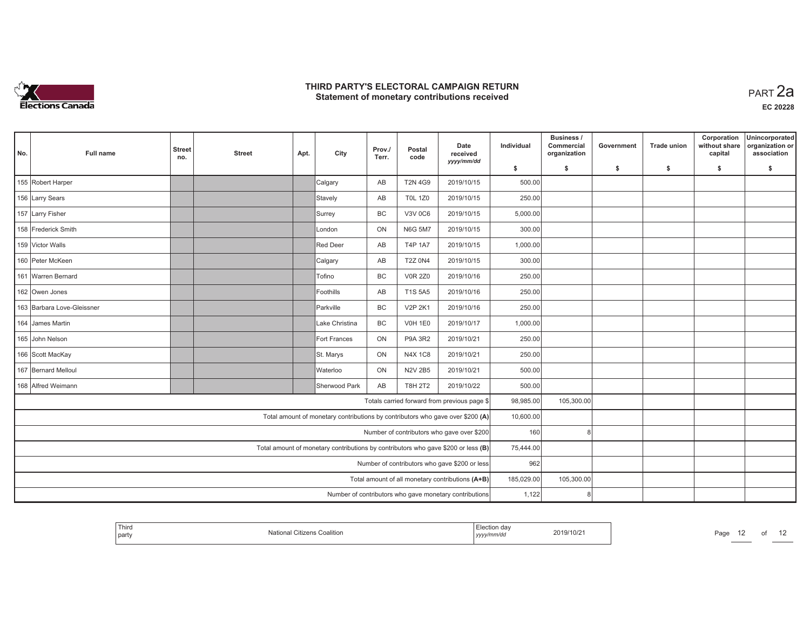

| No.                                                                              | Full name                                                                         | <b>Street</b><br>no. | <b>Street</b> | Apt.      | City                                                                           | Prov./<br>Terr. | Postal<br>code | Date<br>received<br>yyyy/mm/dd                         | Individual | Business /<br>Commercial<br>organization | Government | <b>Trade union</b> | Corporation<br>without share<br>capital | Unincorporated<br>organization or<br>association |
|----------------------------------------------------------------------------------|-----------------------------------------------------------------------------------|----------------------|---------------|-----------|--------------------------------------------------------------------------------|-----------------|----------------|--------------------------------------------------------|------------|------------------------------------------|------------|--------------------|-----------------------------------------|--------------------------------------------------|
|                                                                                  |                                                                                   |                      |               |           |                                                                                |                 |                |                                                        | \$         | s.                                       | \$         | -\$                | \$                                      | \$                                               |
|                                                                                  | 155 Robert Harper                                                                 |                      |               |           | Calgary                                                                        | AB              | <b>T2N 4G9</b> | 2019/10/15                                             | 500.00     |                                          |            |                    |                                         |                                                  |
|                                                                                  | 156 Larry Sears                                                                   |                      |               |           | Stavely                                                                        | AB              | <b>T0L 1Z0</b> | 2019/10/15                                             | 250.00     |                                          |            |                    |                                         |                                                  |
|                                                                                  | 157 Larry Fisher                                                                  |                      |               |           | Surrey                                                                         | <b>BC</b>       | <b>V3V 0C6</b> | 2019/10/15                                             | 5,000.00   |                                          |            |                    |                                         |                                                  |
|                                                                                  | 158 Frederick Smith                                                               |                      |               |           | London                                                                         | ON              | <b>N6G 5M7</b> | 2019/10/15                                             | 300.00     |                                          |            |                    |                                         |                                                  |
|                                                                                  | 159 Victor Walls                                                                  |                      |               |           | Red Deer                                                                       | AB              | <b>T4P 1A7</b> | 2019/10/15                                             | 1,000.00   |                                          |            |                    |                                         |                                                  |
|                                                                                  | 160 Peter McKeen                                                                  |                      |               |           | Calgary                                                                        | AB              | <b>T2Z 0N4</b> | 2019/10/15                                             | 300.00     |                                          |            |                    |                                         |                                                  |
| <b>BC</b><br>2019/10/16<br>161 Warren Bernard<br><b>Tofino</b><br><b>V0R 2Z0</b> |                                                                                   |                      |               |           |                                                                                | 250.00          |                |                                                        |            |                                          |            |                    |                                         |                                                  |
| 162 Owen Jones                                                                   |                                                                                   |                      |               | Foothills | AB                                                                             | T1S 5A5         | 2019/10/16     | 250.00                                                 |            |                                          |            |                    |                                         |                                                  |
| 163 Barbara Love-Gleissner                                                       |                                                                                   |                      | Parkville     | <b>BC</b> | <b>V2P 2K1</b>                                                                 | 2019/10/16      | 250.00         |                                                        |            |                                          |            |                    |                                         |                                                  |
|                                                                                  | 164 James Martin                                                                  |                      |               |           | Lake Christina                                                                 | <b>BC</b>       | <b>V0H 1E0</b> | 2019/10/17                                             | 1,000.00   |                                          |            |                    |                                         |                                                  |
|                                                                                  | 165 John Nelson                                                                   |                      |               |           | Fort Frances                                                                   | ON              | <b>P9A 3R2</b> | 2019/10/21                                             | 250.00     |                                          |            |                    |                                         |                                                  |
|                                                                                  | 166 Scott MacKay                                                                  |                      |               |           | St. Marys                                                                      | ON              | <b>N4X 1C8</b> | 2019/10/21                                             | 250.00     |                                          |            |                    |                                         |                                                  |
|                                                                                  | 167 Bernard Melloul                                                               |                      |               |           | Waterloo                                                                       | ON              | <b>N2V 2B5</b> | 2019/10/21                                             | 500.00     |                                          |            |                    |                                         |                                                  |
|                                                                                  | 168 Alfred Weimann                                                                |                      |               |           | Sherwood Park                                                                  | AB              | <b>T8H 2T2</b> | 2019/10/22                                             | 500.00     |                                          |            |                    |                                         |                                                  |
|                                                                                  |                                                                                   |                      |               |           |                                                                                |                 |                | Totals carried forward from previous page \$           | 98,985.00  | 105,300.00                               |            |                    |                                         |                                                  |
|                                                                                  |                                                                                   |                      |               |           | Total amount of monetary contributions by contributors who gave over \$200 (A) |                 |                |                                                        | 10,600.00  |                                          |            |                    |                                         |                                                  |
|                                                                                  | Number of contributors who gave over \$200                                        |                      |               |           |                                                                                |                 |                |                                                        | 160        | 8                                        |            |                    |                                         |                                                  |
|                                                                                  | Total amount of monetary contributions by contributors who gave \$200 or less (B) |                      |               |           |                                                                                |                 |                |                                                        | 75,444.00  |                                          |            |                    |                                         |                                                  |
|                                                                                  |                                                                                   |                      |               |           |                                                                                |                 |                | Number of contributors who gave \$200 or less          | 962        |                                          |            |                    |                                         |                                                  |
|                                                                                  |                                                                                   |                      |               |           |                                                                                |                 |                | Total amount of all monetary contributions (A+B)       | 185,029.00 | 105,300.00                               |            |                    |                                         |                                                  |
|                                                                                  |                                                                                   |                      |               |           |                                                                                |                 |                | Number of contributors who gave monetary contributions | 1,122      |                                          |            |                    |                                         |                                                  |

| Third<br>' party |  | . | 9/10/2<br>the contract of the contract of the contract of | ∩פ⊂ |  |  |
|------------------|--|---|-----------------------------------------------------------|-----|--|--|
|------------------|--|---|-----------------------------------------------------------|-----|--|--|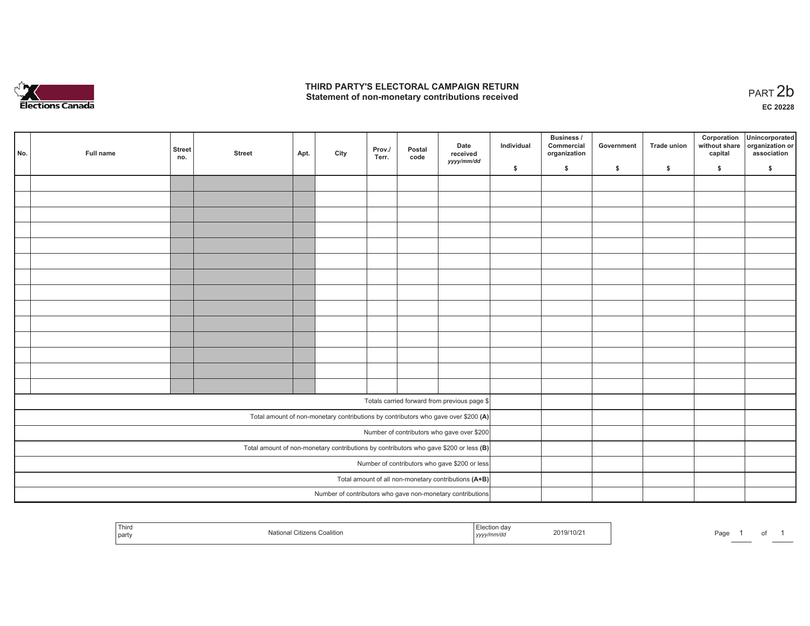

1 of 1

|                                            | No.                                                                                     | Full name | <b>Street</b><br>no. | <b>Street</b> | Apt. | City | Prov./<br>Terr. | Postal<br>code | Date<br>received<br>yyyy/mm/dd                                                     | Individual | <b>Business /</b><br>Commercial<br>organization | Government | Trade union | Corporation<br>capital | Unincorporated<br>without share organization or<br>association |
|--------------------------------------------|-----------------------------------------------------------------------------------------|-----------|----------------------|---------------|------|------|-----------------|----------------|------------------------------------------------------------------------------------|------------|-------------------------------------------------|------------|-------------|------------------------|----------------------------------------------------------------|
|                                            |                                                                                         |           |                      |               |      |      |                 |                |                                                                                    | \$         | \$                                              | \$         | \$          | \$                     | \$                                                             |
|                                            |                                                                                         |           |                      |               |      |      |                 |                |                                                                                    |            |                                                 |            |             |                        |                                                                |
|                                            |                                                                                         |           |                      |               |      |      |                 |                |                                                                                    |            |                                                 |            |             |                        |                                                                |
|                                            |                                                                                         |           |                      |               |      |      |                 |                |                                                                                    |            |                                                 |            |             |                        |                                                                |
|                                            |                                                                                         |           |                      |               |      |      |                 |                |                                                                                    |            |                                                 |            |             |                        |                                                                |
|                                            |                                                                                         |           |                      |               |      |      |                 |                |                                                                                    |            |                                                 |            |             |                        |                                                                |
|                                            |                                                                                         |           |                      |               |      |      |                 |                |                                                                                    |            |                                                 |            |             |                        |                                                                |
|                                            |                                                                                         |           |                      |               |      |      |                 |                |                                                                                    |            |                                                 |            |             |                        |                                                                |
|                                            |                                                                                         |           |                      |               |      |      |                 |                |                                                                                    |            |                                                 |            |             |                        |                                                                |
|                                            |                                                                                         |           |                      |               |      |      |                 |                |                                                                                    |            |                                                 |            |             |                        |                                                                |
|                                            |                                                                                         |           |                      |               |      |      |                 |                |                                                                                    |            |                                                 |            |             |                        |                                                                |
|                                            |                                                                                         |           |                      |               |      |      |                 |                |                                                                                    |            |                                                 |            |             |                        |                                                                |
|                                            |                                                                                         |           |                      |               |      |      |                 |                |                                                                                    |            |                                                 |            |             |                        |                                                                |
|                                            |                                                                                         |           |                      |               |      |      |                 |                |                                                                                    |            |                                                 |            |             |                        |                                                                |
|                                            |                                                                                         |           |                      |               |      |      |                 |                |                                                                                    |            |                                                 |            |             |                        |                                                                |
|                                            |                                                                                         |           |                      |               |      |      |                 |                | Totals carried forward from previous page \$                                       |            |                                                 |            |             |                        |                                                                |
|                                            |                                                                                         |           |                      |               |      |      |                 |                |                                                                                    |            |                                                 |            |             |                        |                                                                |
|                                            |                                                                                         |           |                      |               |      |      |                 |                | Total amount of non-monetary contributions by contributors who gave over \$200 (A) |            |                                                 |            |             |                        |                                                                |
| Number of contributors who gave over \$200 |                                                                                         |           |                      |               |      |      |                 |                |                                                                                    |            |                                                 |            |             |                        |                                                                |
|                                            | Total amount of non-monetary contributions by contributors who gave \$200 or less $(B)$ |           |                      |               |      |      |                 |                |                                                                                    |            |                                                 |            |             |                        |                                                                |
|                                            | Number of contributors who gave \$200 or less                                           |           |                      |               |      |      |                 |                |                                                                                    |            |                                                 |            |             |                        |                                                                |
|                                            | Total amount of all non-monetary contributions (A+B)                                    |           |                      |               |      |      |                 |                |                                                                                    |            |                                                 |            |             |                        |                                                                |
|                                            |                                                                                         |           |                      |               |      |      |                 |                | Number of contributors who gave non-monetary contributions                         |            |                                                 |            |             |                        |                                                                |

| Third<br>Citizen<br>⊧ Coalition<br>Nationa<br>part | $-2$<br>люл<br>2019/10/21<br>.<br>wuc<br>,,,, | Page |
|----------------------------------------------------|-----------------------------------------------|------|
|----------------------------------------------------|-----------------------------------------------|------|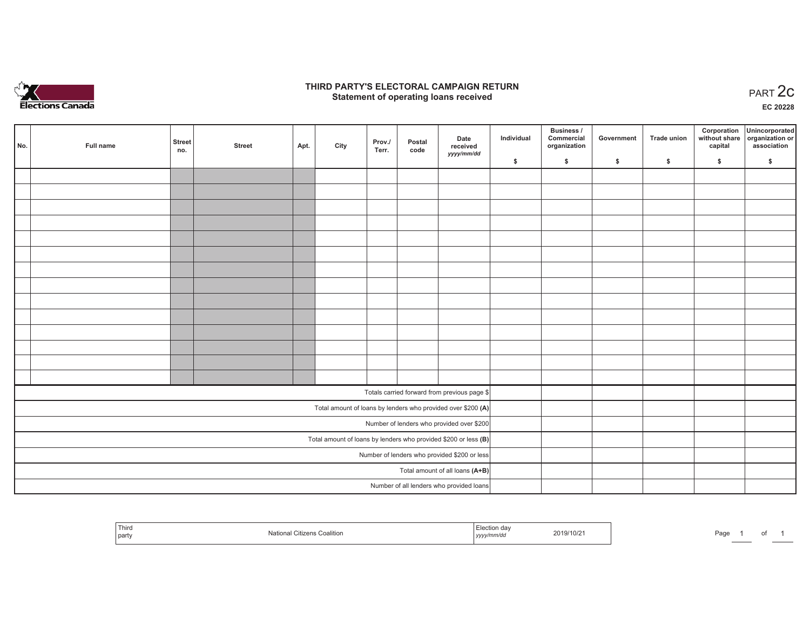

## **THIRD PARTY'S ELECTORAL CAMPAIGN RETURN STATE:** PERSON SELECTORAL CAMPAIGN RETURN<br>
Statement of operating loans received

**EC 20228**

|                                                                 | No. | Full name | <b>Street</b><br>no. | <b>Street</b> | Apt. | City | Prov./<br>Terr. | Postal<br>code | Date<br>received                                             | Individual | Business /<br>Commercial<br>organization | Government | <b>Trade union</b> | Corporation<br>capital | Unincorporated<br>without share organization or<br>association |
|-----------------------------------------------------------------|-----|-----------|----------------------|---------------|------|------|-----------------|----------------|--------------------------------------------------------------|------------|------------------------------------------|------------|--------------------|------------------------|----------------------------------------------------------------|
|                                                                 |     |           |                      |               |      |      |                 |                | yyyy/mm/dd                                                   | \$         | \$                                       | \$         | \$                 | \$                     | \$                                                             |
|                                                                 |     |           |                      |               |      |      |                 |                |                                                              |            |                                          |            |                    |                        |                                                                |
|                                                                 |     |           |                      |               |      |      |                 |                |                                                              |            |                                          |            |                    |                        |                                                                |
|                                                                 |     |           |                      |               |      |      |                 |                |                                                              |            |                                          |            |                    |                        |                                                                |
|                                                                 |     |           |                      |               |      |      |                 |                |                                                              |            |                                          |            |                    |                        |                                                                |
|                                                                 |     |           |                      |               |      |      |                 |                |                                                              |            |                                          |            |                    |                        |                                                                |
|                                                                 |     |           |                      |               |      |      |                 |                |                                                              |            |                                          |            |                    |                        |                                                                |
|                                                                 |     |           |                      |               |      |      |                 |                |                                                              |            |                                          |            |                    |                        |                                                                |
|                                                                 |     |           |                      |               |      |      |                 |                |                                                              |            |                                          |            |                    |                        |                                                                |
|                                                                 |     |           |                      |               |      |      |                 |                |                                                              |            |                                          |            |                    |                        |                                                                |
|                                                                 |     |           |                      |               |      |      |                 |                |                                                              |            |                                          |            |                    |                        |                                                                |
|                                                                 |     |           |                      |               |      |      |                 |                |                                                              |            |                                          |            |                    |                        |                                                                |
|                                                                 |     |           |                      |               |      |      |                 |                |                                                              |            |                                          |            |                    |                        |                                                                |
|                                                                 |     |           |                      |               |      |      |                 |                |                                                              |            |                                          |            |                    |                        |                                                                |
|                                                                 |     |           |                      |               |      |      |                 |                |                                                              |            |                                          |            |                    |                        |                                                                |
|                                                                 |     |           |                      |               |      |      |                 |                | Totals carried forward from previous page \$                 |            |                                          |            |                    |                        |                                                                |
|                                                                 |     |           |                      |               |      |      |                 |                | Total amount of loans by lenders who provided over \$200 (A) |            |                                          |            |                    |                        |                                                                |
|                                                                 |     |           |                      |               |      |      |                 |                | Number of lenders who provided over \$200                    |            |                                          |            |                    |                        |                                                                |
| Total amount of loans by lenders who provided \$200 or less (B) |     |           |                      |               |      |      |                 |                |                                                              |            |                                          |            |                    |                        |                                                                |
| Number of lenders who provided \$200 or less                    |     |           |                      |               |      |      |                 |                |                                                              |            |                                          |            |                    |                        |                                                                |
| Total amount of all loans (A+B)                                 |     |           |                      |               |      |      |                 |                |                                                              |            |                                          |            |                    |                        |                                                                |
|                                                                 |     |           |                      |               |      |      |                 |                | Number of all lenders who provided loans                     |            |                                          |            |                    |                        |                                                                |

| Third<br>party | Nati.<br>i ∪oalition | Election day<br>2019/10/2<br>yyyy/mm/dd | Pagu |
|----------------|----------------------|-----------------------------------------|------|
|----------------|----------------------|-----------------------------------------|------|

of 1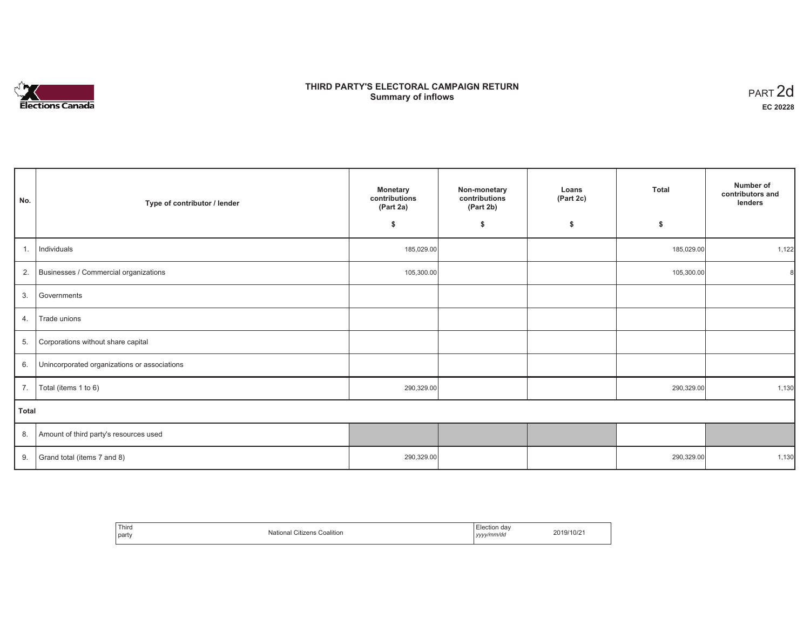# **Elections Canada**

# **THIRD PARTY'S ELECTORAL CAMPAIGN RETURN Summary of inflows**

| PART <sub>2d</sub> |
|--------------------|
| EC 20228           |

٦

| No.   | Type of contributor / lender                 | <b>Monetary</b><br>contributions<br>(Part 2a) | Non-monetary<br>contributions<br>(Part 2b) | Loans<br>(Part 2c) | <b>Total</b> | Number of<br>contributors and<br>lenders |
|-------|----------------------------------------------|-----------------------------------------------|--------------------------------------------|--------------------|--------------|------------------------------------------|
|       |                                              | \$                                            | \$                                         | \$                 | \$           |                                          |
| 1.    | Individuals                                  | 185,029.00                                    |                                            |                    | 185,029.00   | 1,122                                    |
| 2.    | Businesses / Commercial organizations        | 105,300.00                                    |                                            |                    | 105,300.00   | 8                                        |
| 3.    | Governments                                  |                                               |                                            |                    |              |                                          |
| 4.    | Trade unions                                 |                                               |                                            |                    |              |                                          |
| 5.    | Corporations without share capital           |                                               |                                            |                    |              |                                          |
| 6.    | Unincorporated organizations or associations |                                               |                                            |                    |              |                                          |
| 7.    | Total (items 1 to 6)                         | 290,329.00                                    |                                            |                    | 290,329.00   | 1,130                                    |
| Total |                                              |                                               |                                            |                    |              |                                          |
| 8.    | Amount of third party's resources used       |                                               |                                            |                    |              |                                          |
| 9.    | Grand total (items 7 and 8)                  | 290,329.00                                    |                                            |                    | 290,329.00   | 1,130                                    |

| Third<br>party | $\sim$<br>Mational ⊆<br>l Citizens Coalition | -<br>ection dav<br>yyyy/mm/dd<br><i>yyyy</i> | 2019/10/21 |
|----------------|----------------------------------------------|----------------------------------------------|------------|
|----------------|----------------------------------------------|----------------------------------------------|------------|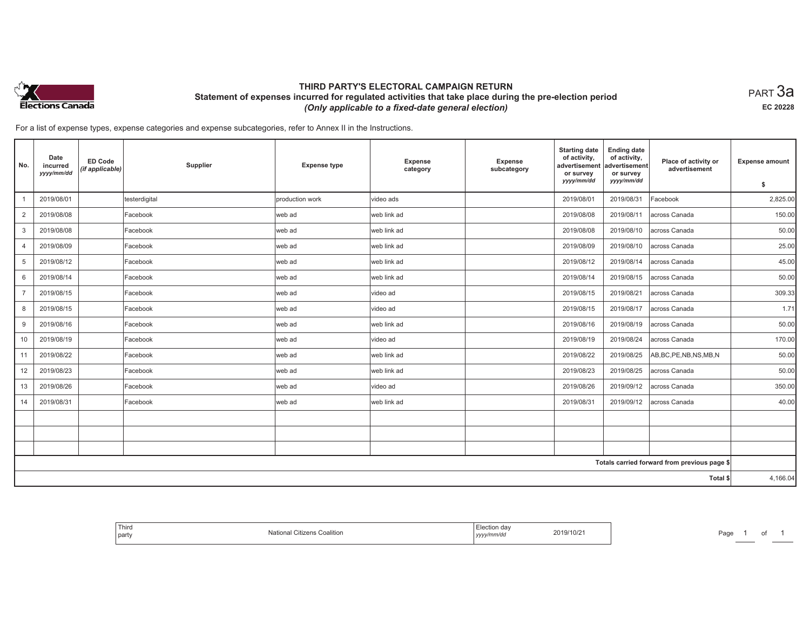

## **THIRD PARTY'S ELECTORAL CAMPAIGN RETURN Statement of expenses incurred for regulated activities that take place during the pre-election period**  *(Only applicable to a fixed-date general election)*

 $_{\sf PART}$ 3a **EC 20228**

| No.            | Date<br>incurred<br>yyyy/mm/dd | <b>ED Code</b><br>(if applicable) | Supplier      | <b>Expense type</b> | Expense<br>category | <b>Expense</b><br>subcategory | <b>Starting date</b><br>of activity,<br>advertisement<br>or survey<br>yyyy/mm/dd | <b>Ending date</b><br>of activity,<br>advertisement<br>or survey<br>yyyy/mm/dd | Place of activity or<br>advertisement        | <b>Expense amount</b><br>\$ |
|----------------|--------------------------------|-----------------------------------|---------------|---------------------|---------------------|-------------------------------|----------------------------------------------------------------------------------|--------------------------------------------------------------------------------|----------------------------------------------|-----------------------------|
|                | 2019/08/01                     |                                   | testerdigital | production work     | video ads           |                               | 2019/08/01                                                                       | 2019/08/31                                                                     | Facebook                                     | 2,825.00                    |
|                |                                |                                   |               |                     |                     |                               |                                                                                  |                                                                                |                                              |                             |
| $\overline{2}$ | 2019/08/08                     |                                   | Facebook      | web ad              | web link ad         |                               | 2019/08/08                                                                       | 2019/08/11                                                                     | across Canada                                | 150.00                      |
| 3              | 2019/08/08                     |                                   | Facebook      | web ad              | web link ad         |                               | 2019/08/08                                                                       | 2019/08/10                                                                     | across Canada                                | 50.00                       |
| $\overline{4}$ | 2019/08/09                     |                                   | Facebook      | web ad              | web link ad         |                               | 2019/08/09                                                                       | 2019/08/10                                                                     | across Canada                                | 25.00                       |
| 5              | 2019/08/12                     |                                   | Facebook      | web ad              | web link ad         |                               | 2019/08/12                                                                       | 2019/08/14                                                                     | across Canada                                | 45.00                       |
| 6              | 2019/08/14                     |                                   | Facebook      | web ad              | web link ad         |                               | 2019/08/14                                                                       | 2019/08/15                                                                     | across Canada                                | 50.00                       |
| $\overline{7}$ | 2019/08/15                     |                                   | Facebook      | web ad              | video ad            |                               | 2019/08/15                                                                       | 2019/08/21                                                                     | across Canada                                | 309.33                      |
| 8              | 2019/08/15                     |                                   | Facebook      | web ad              | video ad            |                               | 2019/08/15                                                                       | 2019/08/17                                                                     | across Canada                                | 1.71                        |
| 9              | 2019/08/16                     |                                   | Facebook      | web ad              | web link ad         |                               | 2019/08/16                                                                       | 2019/08/19                                                                     | across Canada                                | 50.00                       |
| 10             | 2019/08/19                     |                                   | Facebook      | web ad              | video ad            |                               | 2019/08/19                                                                       | 2019/08/24                                                                     | across Canada                                | 170.00                      |
| 11             | 2019/08/22                     |                                   | Facebook      | web ad              | web link ad         |                               | 2019/08/22                                                                       | 2019/08/25                                                                     | AB, BC, PE, NB, NS, MB, N                    | 50.00                       |
| 12             | 2019/08/23                     |                                   | Facebook      | web ad              | web link ad         |                               | 2019/08/23                                                                       | 2019/08/25                                                                     | across Canada                                | 50.00                       |
| 13             | 2019/08/26                     |                                   | Facebook      | web ad              | video ad            |                               | 2019/08/26                                                                       | 2019/09/12                                                                     | across Canada                                | 350.00                      |
| 14             | 2019/08/31                     |                                   | Facebook      | web ad              | web link ad         |                               | 2019/08/31                                                                       | 2019/09/12                                                                     | across Canada                                | 40.00                       |
|                |                                |                                   |               |                     |                     |                               |                                                                                  |                                                                                |                                              |                             |
|                |                                |                                   |               |                     |                     |                               |                                                                                  |                                                                                |                                              |                             |
|                |                                |                                   |               |                     |                     |                               |                                                                                  |                                                                                |                                              |                             |
|                |                                |                                   |               |                     |                     |                               |                                                                                  |                                                                                | Totals carried forward from previous page \$ |                             |
|                |                                |                                   |               |                     |                     |                               |                                                                                  |                                                                                | Total \$                                     | 4,166.04                    |

| <sup>l</sup> Third<br>$\cdots$<br>Nloti.<br>. Citizens Coalition<br>Ndll<br>l party | Election day<br>2019/10/21<br>.<br>yyyy/mm/dd | Page |
|-------------------------------------------------------------------------------------|-----------------------------------------------|------|
|-------------------------------------------------------------------------------------|-----------------------------------------------|------|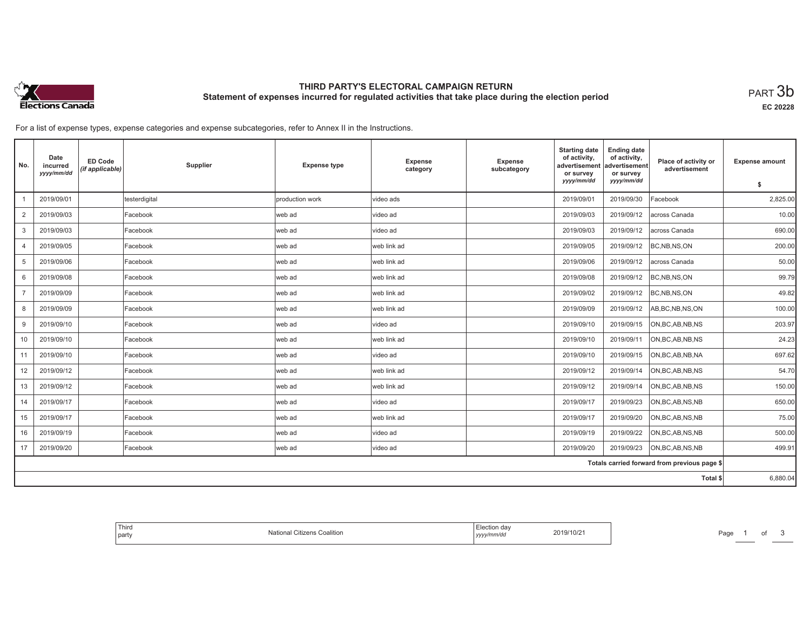

# **THIRD PARTY'S ELECTORAL CAMPAIGN RETURN Statement of expenses incurred for regulated activities that take place during the election period**<br>PART  $3\mathsf{b}$

**EC 20228**

| No.            | Date<br>incurred<br>yyyy/mm/dd | <b>ED Code</b><br>(if applicable) | Supplier      | <b>Expense type</b> | Expense<br>category | Expense<br>subcategory | <b>Starting date</b><br>of activity,<br>advertisement<br>or survey | <b>Ending date</b><br>of activity,<br>advertisement<br>or survey | Place of activity or<br>advertisement        | <b>Expense amount</b> |
|----------------|--------------------------------|-----------------------------------|---------------|---------------------|---------------------|------------------------|--------------------------------------------------------------------|------------------------------------------------------------------|----------------------------------------------|-----------------------|
|                |                                |                                   |               |                     |                     |                        | yyyy/mm/dd                                                         | yyyy/mm/dd                                                       |                                              | \$                    |
|                | 2019/09/01                     |                                   | testerdigital | production work     | video ads           |                        | 2019/09/01                                                         | 2019/09/30                                                       | Facebook                                     | 2,825.00              |
| $\overline{2}$ | 2019/09/03                     |                                   | Facebook      | web ad              | video ad            |                        | 2019/09/03                                                         | 2019/09/12                                                       | across Canada                                | 10.00                 |
| 3              | 2019/09/03                     |                                   | Facebook      | lweb ad             | Ivideo ad           |                        | 2019/09/03                                                         | 2019/09/12                                                       | across Canada                                | 690.00                |
| 4              | 2019/09/05                     |                                   | Facebook      | web ad              | web link ad         |                        | 2019/09/05                                                         | 2019/09/12                                                       | BC, NB, NS, ON                               | 200.00                |
| 5              | 2019/09/06                     |                                   | Facebook      | web ad              | web link ad         |                        | 2019/09/06                                                         | 2019/09/12                                                       | across Canada                                | 50.00                 |
| 6              | 2019/09/08                     |                                   | Facebook      | web ad              | lweb link ad        |                        | 2019/09/08                                                         | 2019/09/12                                                       | BC, NB, NS, ON                               | 99.79                 |
| $\overline{7}$ | 2019/09/09                     |                                   | Facebook      | web ad              | web link ad         |                        | 2019/09/02                                                         | 2019/09/12                                                       | BC, NB, NS, ON                               | 49.82                 |
| 8              | 2019/09/09                     |                                   | Facebook      | web ad              | web link ad         |                        | 2019/09/09                                                         | 2019/09/12                                                       | AB, BC, NB, NS, ON                           | 100.00                |
| 9              | 2019/09/10                     |                                   | Facebook      | lweb ad             | Ivideo ad           |                        | 2019/09/10                                                         | 2019/09/15                                                       | ON, BC, AB, NB, NS                           | 203.97                |
| 10             | 2019/09/10                     |                                   | Facebook      | web ad              | web link ad         |                        | 2019/09/10                                                         | 2019/09/11                                                       | ON, BC, AB, NB, NS                           | 24.23                 |
| 11             | 2019/09/10                     |                                   | Facebook      | web ad              | video ad            |                        | 2019/09/10                                                         | 2019/09/15                                                       | ON, BC, AB, NB, NA                           | 697.62                |
| 12             | 2019/09/12                     |                                   | Facebook      | lweb ad             | web link ad         |                        | 2019/09/12                                                         | 2019/09/14                                                       | ON, BC, AB, NB, NS                           | 54.70                 |
| 13             | 2019/09/12                     |                                   | Facebook      | web ad              | web link ad         |                        | 2019/09/12                                                         | 2019/09/14                                                       | ON, BC, AB, NB, NS                           | 150.00                |
| 14             | 2019/09/17                     |                                   | Facebook      | web ad              | Ivideo ad           |                        | 2019/09/17                                                         | 2019/09/23                                                       | ON, BC, AB, NS, NB                           | 650.00                |
| 15             | 2019/09/17                     |                                   | Facebook      | web ad              | web link ad         |                        | 2019/09/17                                                         | 2019/09/20                                                       | ON, BC, AB, NS, NB                           | 75.00                 |
| 16             | 2019/09/19                     |                                   | Facebook      | web ad              | video ad            |                        | 2019/09/19                                                         | 2019/09/22                                                       | ON, BC, AB, NS, NB                           | 500.00                |
| 17             | 2019/09/20                     |                                   | Facebook      | web ad              | video ad            |                        | 2019/09/20                                                         | 2019/09/23                                                       | ON, BC, AB, NS, NB                           | 499.91                |
|                |                                |                                   |               |                     |                     |                        |                                                                    |                                                                  | Totals carried forward from previous page \$ |                       |
|                |                                |                                   |               |                     |                     |                        |                                                                    |                                                                  | Total \$                                     | 6,880.04              |

| ection dav<br>19/10/21<br>Coalition<br>National<br>Citizens<br>  yyyy/mm/dd |  |
|-----------------------------------------------------------------------------|--|
|-----------------------------------------------------------------------------|--|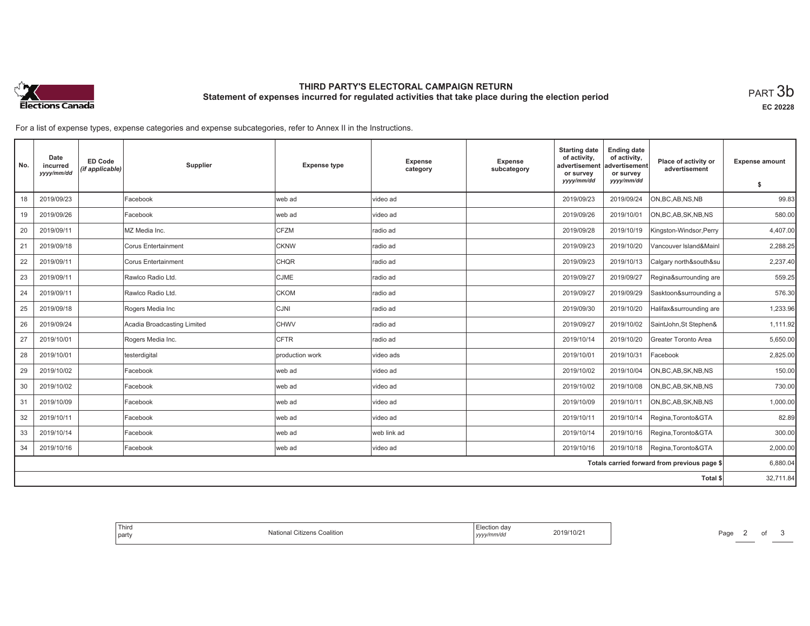

# **THIRD PARTY'S ELECTORAL CAMPAIGN RETURN Statement of expenses incurred for regulated activities that take place during the election period**<br>PART  $3\mathsf{b}$

**EC 20228**

| No. | Date<br>incurred<br>yyyy/mm/dd | <b>ED Code</b><br>(if applicable) | Supplier                    | <b>Expense type</b> | Expense<br>category | Expense<br>subcategory | <b>Starting date</b><br>of activity,<br>advertisement<br>or survey | <b>Ending date</b><br>of activity,<br>advertisement<br>or survey | Place of activity or<br>advertisement        | <b>Expense amount</b> |
|-----|--------------------------------|-----------------------------------|-----------------------------|---------------------|---------------------|------------------------|--------------------------------------------------------------------|------------------------------------------------------------------|----------------------------------------------|-----------------------|
|     |                                |                                   |                             |                     |                     |                        | yyyy/mm/dd                                                         | yyyy/mm/dd                                                       |                                              | \$                    |
| 18  | 2019/09/23                     |                                   | Facebook                    | web ad              | Ivideo ad           |                        | 2019/09/23                                                         | 2019/09/24                                                       | ON, BC, AB, NS, NB                           | 99.83                 |
| 19  | 2019/09/26                     |                                   | Facebook                    | web ad              | video ad            |                        | 2019/09/26                                                         | 2019/10/01                                                       | ON, BC, AB, SK, NB, NS                       | 580.00                |
| 20  | 2019/09/11                     |                                   | MZ Media Inc.               | <b>CFZM</b>         | Iradio ad           |                        | 2019/09/28                                                         | 2019/10/19                                                       | Kingston-Windsor, Perry                      | 4,407.00              |
| 21  | 2019/09/18                     |                                   | Corus Entertainment         | <b>CKNW</b>         | radio ad            |                        | 2019/09/23                                                         | 2019/10/20                                                       | Vancouver Island&Mainl                       | 2,288.25              |
| 22  | 2019/09/11                     |                                   | Corus Entertainment         | <b>CHQR</b>         | radio ad            |                        | 2019/09/23                                                         | 2019/10/13                                                       | Calgary north&south&su                       | 2,237.40              |
| 23  | 2019/09/11                     |                                   | Rawlco Radio Ltd.           | <b>CJME</b>         | radio ad            |                        | 2019/09/27                                                         | 2019/09/27                                                       | Regina&surrounding are                       | 559.25                |
| 24  | 2019/09/11                     |                                   | Rawlco Radio Ltd.           | <b>CKOM</b>         | radio ad            |                        | 2019/09/27                                                         | 2019/09/29                                                       | Sasktoon&surrounding a                       | 576.30                |
| 25  | 2019/09/18                     |                                   | Rogers Media Inc            | <b>CJNI</b>         | radio ad            |                        | 2019/09/30                                                         | 2019/10/20                                                       | Halifax&surrounding are                      | 1,233.96              |
| 26  | 2019/09/24                     |                                   | Acadia Broadcasting Limited | <b>CHWV</b>         | Iradio ad           |                        | 2019/09/27                                                         | 2019/10/02                                                       | SaintJohn, St Stephen&                       | 1,111.92              |
| 27  | 2019/10/01                     |                                   | Rogers Media Inc.           | <b>CFTR</b>         | radio ad            |                        | 2019/10/14                                                         | 2019/10/20                                                       | Greater Toronto Area                         | 5,650.00              |
| 28  | 2019/10/01                     |                                   | testerdigital               | production work     | video ads           |                        | 2019/10/01                                                         | 2019/10/31                                                       | Facebook                                     | 2,825.00              |
| 29  | 2019/10/02                     |                                   | Facebook                    | web ad              | video ad            |                        | 2019/10/02                                                         | 2019/10/04                                                       | ON, BC, AB, SK, NB, NS                       | 150.00                |
| 30  | 2019/10/02                     |                                   | Facebook                    | web ad              | video ad            |                        | 2019/10/02                                                         | 2019/10/08                                                       | ON, BC, AB, SK, NB, NS                       | 730.00                |
| 31  | 2019/10/09                     |                                   | Facebook                    | web ad              | video ad            |                        | 2019/10/09                                                         | 2019/10/11                                                       | ON, BC, AB, SK, NB, NS                       | 1,000.00              |
| 32  | 2019/10/11                     |                                   | Facebook                    | web ad              | video ad            |                        | 2019/10/11                                                         | 2019/10/14                                                       | Regina, Toronto&GTA                          | 82.89                 |
| 33  | 2019/10/14                     |                                   | Facebook                    | web ad              | web link ad         |                        | 2019/10/14                                                         | 2019/10/16                                                       | Regina, Toronto&GTA                          | 300.00                |
| 34  | 2019/10/16                     |                                   | Facebook                    | web ad              | video ad            |                        | 2019/10/16                                                         | 2019/10/18                                                       | Regina, Toronto&GTA                          | 2,000.00              |
|     |                                |                                   |                             |                     |                     |                        |                                                                    |                                                                  | Totals carried forward from previous page \$ | 6,880.04              |
|     |                                |                                   |                             |                     |                     |                        |                                                                    |                                                                  | Total \$                                     | 32,711.84             |

| Third<br>Election dav<br>2019/10/21<br>1.1.1<br>National Citizens<br>Coalition<br>  party<br>vyy/mm/du<br>  yyyy |
|------------------------------------------------------------------------------------------------------------------|
|------------------------------------------------------------------------------------------------------------------|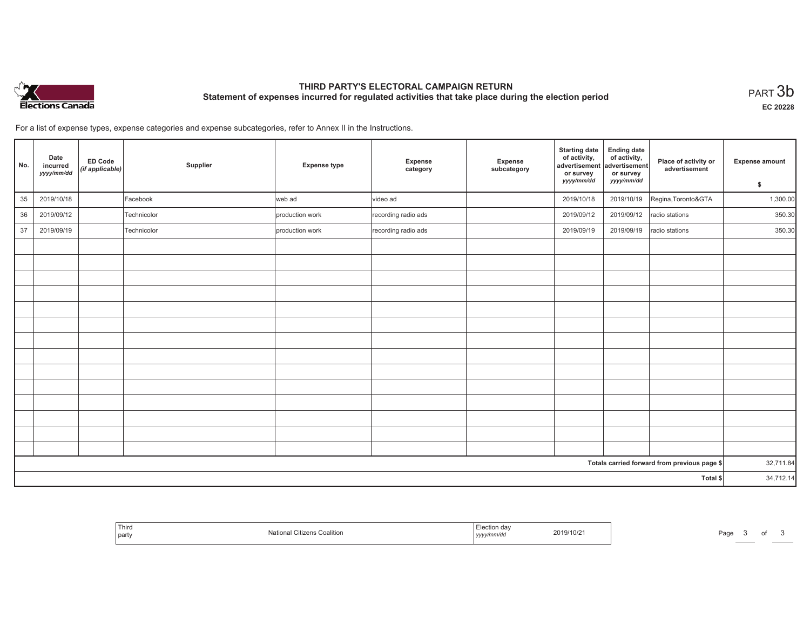

# **THIRD PARTY'S ELECTORAL CAMPAIGN RETURN Statement of expenses incurred for regulated activities that take place during the election period**<br>PART  $3\mathsf{b}$

**EC 20228**

| No. | Date<br>incurred<br>yyyy/mm/dd | <b>ED Code</b><br>(if applicable) | Supplier    | <b>Expense type</b> | Expense<br>category | Expense<br>subcategory | <b>Starting date</b><br>of activity,<br>advertisement<br>or survey<br>yyyy/mm/dd | <b>Ending date</b><br>of activity,<br>advertisement<br>or survey<br>yyyy/mm/dd | Place of activity or<br>advertisement        | <b>Expense amount</b><br>\$ |
|-----|--------------------------------|-----------------------------------|-------------|---------------------|---------------------|------------------------|----------------------------------------------------------------------------------|--------------------------------------------------------------------------------|----------------------------------------------|-----------------------------|
| 35  | 2019/10/18                     |                                   | Facebook    | web ad              | video ad            |                        | 2019/10/18                                                                       | 2019/10/19                                                                     | Regina, Toronto&GTA                          | 1,300.00                    |
| 36  | 2019/09/12                     |                                   | Technicolor | production work     | recording radio ads |                        | 2019/09/12                                                                       | 2019/09/12                                                                     | radio stations                               | 350.30                      |
| 37  | 2019/09/19                     |                                   | Technicolor | production work     | recording radio ads |                        | 2019/09/19                                                                       | 2019/09/19                                                                     | radio stations                               | 350.30                      |
|     |                                |                                   |             |                     |                     |                        |                                                                                  |                                                                                |                                              |                             |
|     |                                |                                   |             |                     |                     |                        |                                                                                  |                                                                                |                                              |                             |
|     |                                |                                   |             |                     |                     |                        |                                                                                  |                                                                                |                                              |                             |
|     |                                |                                   |             |                     |                     |                        |                                                                                  |                                                                                |                                              |                             |
|     |                                |                                   |             |                     |                     |                        |                                                                                  |                                                                                |                                              |                             |
|     |                                |                                   |             |                     |                     |                        |                                                                                  |                                                                                |                                              |                             |
|     |                                |                                   |             |                     |                     |                        |                                                                                  |                                                                                |                                              |                             |
|     |                                |                                   |             |                     |                     |                        |                                                                                  |                                                                                |                                              |                             |
|     |                                |                                   |             |                     |                     |                        |                                                                                  |                                                                                |                                              |                             |
|     |                                |                                   |             |                     |                     |                        |                                                                                  |                                                                                |                                              |                             |
|     |                                |                                   |             |                     |                     |                        |                                                                                  |                                                                                |                                              |                             |
|     |                                |                                   |             |                     |                     |                        |                                                                                  |                                                                                |                                              |                             |
|     |                                |                                   |             |                     |                     |                        |                                                                                  |                                                                                |                                              |                             |
|     |                                |                                   |             |                     |                     |                        |                                                                                  |                                                                                |                                              |                             |
|     |                                |                                   |             |                     |                     |                        |                                                                                  |                                                                                | Totals carried forward from previous page \$ | 32,711.84                   |
|     |                                |                                   |             |                     |                     |                        |                                                                                  |                                                                                | Total \$                                     | 34,712.14                   |

| Third<br><b>Citizens Coalition</b><br>part<br>ivalional. | . <u>. .</u><br>Election day<br>2019/10/21<br>.<br>yyyy/mm/dd | Page<br>. . |
|----------------------------------------------------------|---------------------------------------------------------------|-------------|
|----------------------------------------------------------|---------------------------------------------------------------|-------------|